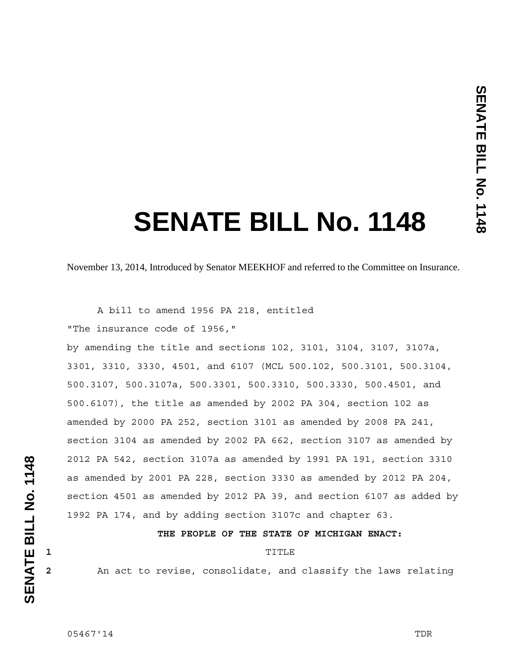# **SENATE BILL No. 1148**

November 13, 2014, Introduced by Senator MEEKHOF and referred to the Committee on Insurance.

A bill to amend 1956 PA 218, entitled

"The insurance code of 1956,"

by amending the title and sections 102, 3101, 3104, 3107, 3107a, 3301, 3310, 3330, 4501, and 6107 (MCL 500.102, 500.3101, 500.3104, 500.3107, 500.3107a, 500.3301, 500.3310, 500.3330, 500.4501, and 500.6107), the title as amended by 2002 PA 304, section 102 as amended by 2000 PA 252, section 3101 as amended by 2008 PA 241, section 3104 as amended by 2002 PA 662, section 3107 as amended by 2012 PA 542, section 3107a as amended by 1991 PA 191, section 3310 as amended by 2001 PA 228, section 3330 as amended by 2012 PA 204, section 4501 as amended by 2012 PA 39, and section 6107 as added by 1992 PA 174, and by adding section 3107c and chapter 63.

#### **THE PEOPLE OF THE STATE OF MICHIGAN ENACT:**

## **1 1 TITLE**

**2** An act to revise, consolidate, and classify the laws relating

05467'14 TDR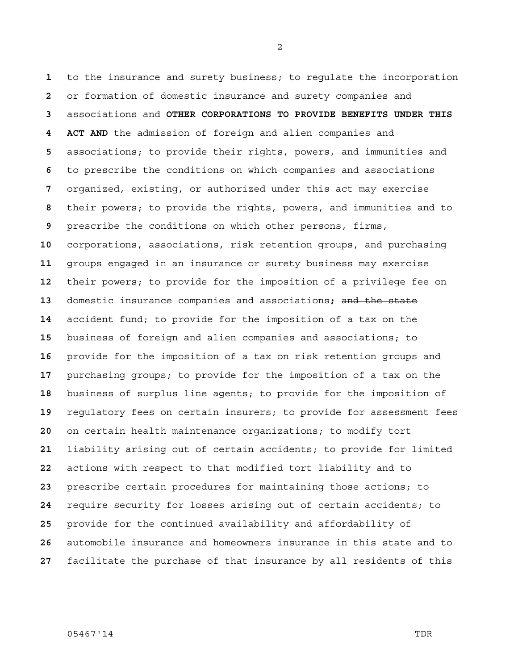to the insurance and surety business; to regulate the incorporation or formation of domestic insurance and surety companies and associations and **OTHER CORPORATIONS TO PROVIDE BENEFITS UNDER THIS 4 ACT AND** the admission of foreign and alien companies and associations; to provide their rights, powers, and immunities and to prescribe the conditions on which companies and associations organized, existing, or authorized under this act may exercise their powers; to provide the rights, powers, and immunities and to prescribe the conditions on which other persons, firms, corporations, associations, risk retention groups, and purchasing groups engaged in an insurance or surety business may exercise their powers; to provide for the imposition of a privilege fee on domestic insurance companies and associations**;** and the state accident fund; to provide for the imposition of a tax on the business of foreign and alien companies and associations; to provide for the imposition of a tax on risk retention groups and purchasing groups; to provide for the imposition of a tax on the business of surplus line agents; to provide for the imposition of regulatory fees on certain insurers; to provide for assessment fees on certain health maintenance organizations; to modify tort liability arising out of certain accidents; to provide for limited actions with respect to that modified tort liability and to prescribe certain procedures for maintaining those actions; to require security for losses arising out of certain accidents; to provide for the continued availability and affordability of automobile insurance and homeowners insurance in this state and to facilitate the purchase of that insurance by all residents of this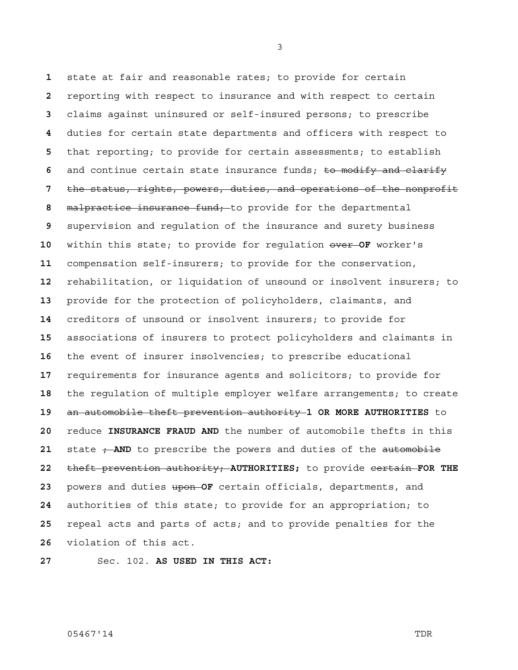state at fair and reasonable rates; to provide for certain reporting with respect to insurance and with respect to certain claims against uninsured or self-insured persons; to prescribe duties for certain state departments and officers with respect to that reporting; to provide for certain assessments; to establish and continue certain state insurance funds; to modify and clarify the status, rights, powers, duties, and operations of the nonprofit malpractice insurance fund; to provide for the departmental supervision and regulation of the insurance and surety business within this state; to provide for regulation over **OF** worker's compensation self-insurers; to provide for the conservation, rehabilitation, or liquidation of unsound or insolvent insurers; to provide for the protection of policyholders, claimants, and creditors of unsound or insolvent insurers; to provide for associations of insurers to protect policyholders and claimants in the event of insurer insolvencies; to prescribe educational requirements for insurance agents and solicitors; to provide for the regulation of multiple employer welfare arrangements; to create an automobile theft prevention authority **1 OR MORE AUTHORITIES** to reduce **INSURANCE FRAUD AND** the number of automobile thefts in this 21 state  $\div$ **AND** to prescribe the powers and duties of the automobile theft prevention authority; **AUTHORITIES;** to provide certain **FOR THE**  powers and duties upon **OF** certain officials, departments, and authorities of this state; to provide for an appropriation; to repeal acts and parts of acts; and to provide penalties for the violation of this act.

Sec. 102. **AS USED IN THIS ACT:**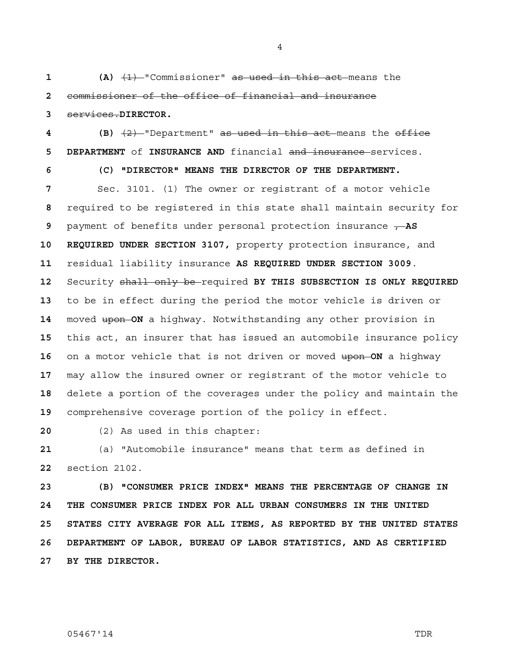**1** (A)  $\left(1\right)$  - "Commissioner" as used in this act means the **2** commissioner of the office of financial and insurance **3** services.**DIRECTOR.**

**4 (B)** (2) "Department" as used in this act means the office

**5 DEPARTMENT** of **INSURANCE AND** financial and insurance services. **6 (C) "DIRECTOR" MEANS THE DIRECTOR OF THE DEPARTMENT.**  Sec. 3101. (1) The owner or registrant of a motor vehicle required to be registered in this state shall maintain security for payment of benefits under personal protection insurance  $\overline{f}$  AS **10 REQUIRED UNDER SECTION 3107,** property protection insurance, and residual liability insurance **AS REQUIRED UNDER SECTION 3009**. Security shall only be required **BY THIS SUBSECTION IS ONLY REQUIRED**  to be in effect during the period the motor vehicle is driven or moved upon **ON** a highway. Notwithstanding any other provision in this act, an insurer that has issued an automobile insurance policy on a motor vehicle that is not driven or moved upon **ON** a highway may allow the insured owner or registrant of the motor vehicle to delete a portion of the coverages under the policy and maintain the comprehensive coverage portion of the policy in effect.

**20** (2) As used in this chapter:

**21** (a) "Automobile insurance" means that term as defined in **22** section 2102.

**23 (B) "CONSUMER PRICE INDEX" MEANS THE PERCENTAGE OF CHANGE IN 24 THE CONSUMER PRICE INDEX FOR ALL URBAN CONSUMERS IN THE UNITED 25 STATES CITY AVERAGE FOR ALL ITEMS, AS REPORTED BY THE UNITED STATES 26 DEPARTMENT OF LABOR, BUREAU OF LABOR STATISTICS, AND AS CERTIFIED 27 BY THE DIRECTOR.**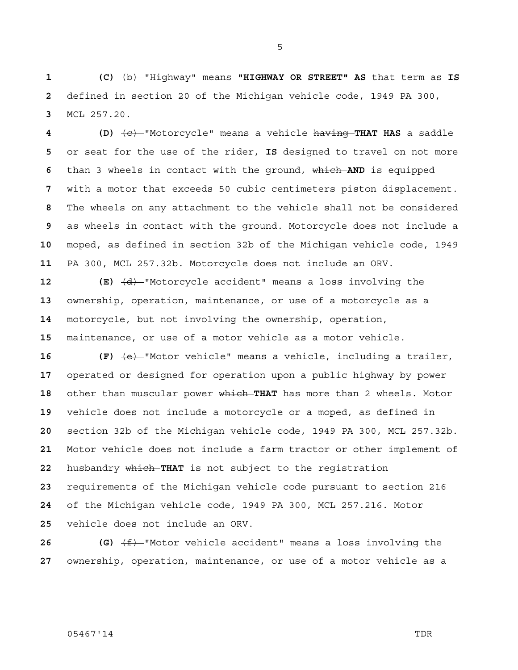**1** (C)  $\overline{b}$  + "Highway" means "HIGHWAY OR STREET" AS that term as **IS** defined in section 20 of the Michigan vehicle code, 1949 PA 300, MCL 257.20.

**4 (D)** (c) "Motorcycle" means a vehicle having **THAT HAS** a saddle or seat for the use of the rider, **IS** designed to travel on not more than 3 wheels in contact with the ground, which **AND** is equipped with a motor that exceeds 50 cubic centimeters piston displacement. The wheels on any attachment to the vehicle shall not be considered as wheels in contact with the ground. Motorcycle does not include a moped, as defined in section 32b of the Michigan vehicle code, 1949 PA 300, MCL 257.32b. Motorcycle does not include an ORV.

 **(E)**  $\left(\frac{d}{dt}\right)$  "Motorcycle accident" means a loss involving the ownership, operation, maintenance, or use of a motorcycle as a motorcycle, but not involving the ownership, operation, maintenance, or use of a motor vehicle as a motor vehicle.

**16 (F)** (e) "Motor vehicle" means a vehicle, including a trailer, operated or designed for operation upon a public highway by power other than muscular power which **THAT** has more than 2 wheels. Motor vehicle does not include a motorcycle or a moped, as defined in section 32b of the Michigan vehicle code, 1949 PA 300, MCL 257.32b. Motor vehicle does not include a farm tractor or other implement of husbandry which **THAT** is not subject to the registration requirements of the Michigan vehicle code pursuant to section 216 of the Michigan vehicle code, 1949 PA 300, MCL 257.216. Motor vehicle does not include an ORV.

**26 (G)** (f) "Motor vehicle accident" means a loss involving the ownership, operation, maintenance, or use of a motor vehicle as a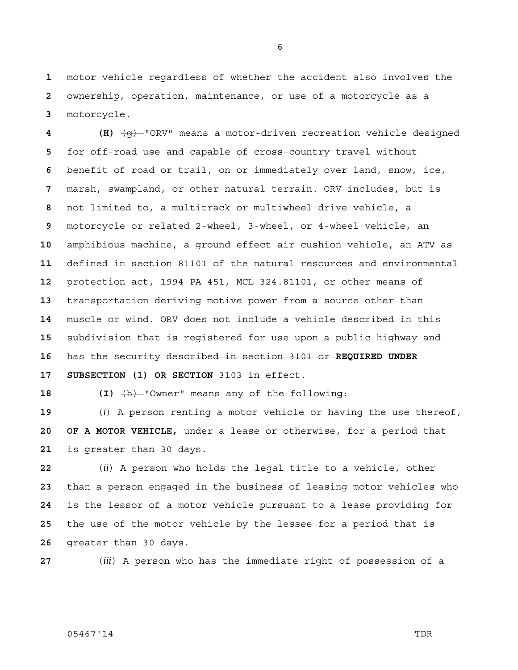motor vehicle regardless of whether the accident also involves the ownership, operation, maintenance, or use of a motorcycle as a motorcycle.

**4 (H)** (g) "ORV" means a motor-driven recreation vehicle designed for off-road use and capable of cross-country travel without benefit of road or trail, on or immediately over land, snow, ice, marsh, swampland, or other natural terrain. ORV includes, but is not limited to, a multitrack or multiwheel drive vehicle, a motorcycle or related 2-wheel, 3-wheel, or 4-wheel vehicle, an amphibious machine, a ground effect air cushion vehicle, an ATV as defined in section 81101 of the natural resources and environmental protection act, 1994 PA 451, MCL 324.81101, or other means of transportation deriving motive power from a source other than muscle or wind. ORV does not include a vehicle described in this subdivision that is registered for use upon a public highway and has the security described in section 3101 or **REQUIRED UNDER 17 SUBSECTION (1) OR SECTION** 3103 in effect.

18 (I)  $\overline{h}$  "Owner" means any of the following:

 (*i*) A person renting a motor vehicle or having the use thereof, **20 OF A MOTOR VEHICLE,** under a lease or otherwise, for a period that is greater than 30 days.

(*ii*) A person who holds the legal title to a vehicle, other than a person engaged in the business of leasing motor vehicles who is the lessor of a motor vehicle pursuant to a lease providing for the use of the motor vehicle by the lessee for a period that is greater than 30 days.

(*iii*) A person who has the immediate right of possession of a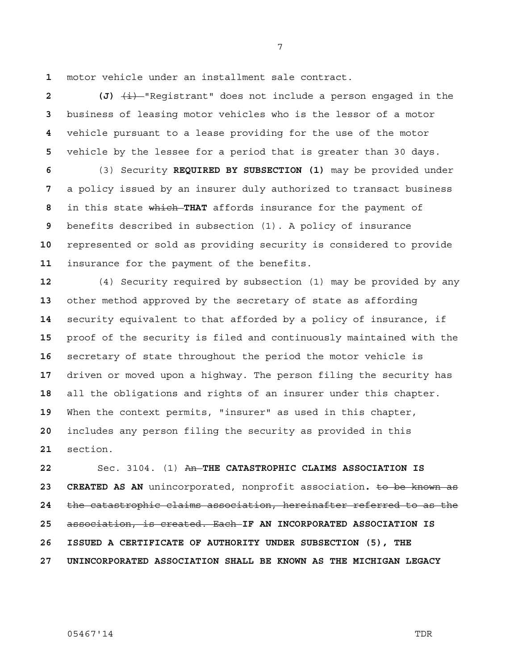motor vehicle under an installment sale contract.

 **(J)**  $\overline{\textbf{(i)}}$  "Registrant" does not include a person engaged in the business of leasing motor vehicles who is the lessor of a motor vehicle pursuant to a lease providing for the use of the motor vehicle by the lessee for a period that is greater than 30 days.

(3) Security **REQUIRED BY SUBSECTION (1)** may be provided under a policy issued by an insurer duly authorized to transact business in this state which **THAT** affords insurance for the payment of benefits described in subsection (1). A policy of insurance represented or sold as providing security is considered to provide insurance for the payment of the benefits.

(4) Security required by subsection (1) may be provided by any other method approved by the secretary of state as affording security equivalent to that afforded by a policy of insurance, if proof of the security is filed and continuously maintained with the secretary of state throughout the period the motor vehicle is driven or moved upon a highway. The person filing the security has all the obligations and rights of an insurer under this chapter. When the context permits, "insurer" as used in this chapter, includes any person filing the security as provided in this section.

Sec. 3104. (1) An **THE CATASTROPHIC CLAIMS ASSOCIATION IS 23 CREATED AS AN** unincorporated, nonprofit association**.** to be known as the catastrophic claims association, hereinafter referred to as the association, is created. Each **IF AN INCORPORATED ASSOCIATION IS 26 ISSUED A CERTIFICATE OF AUTHORITY UNDER SUBSECTION (5), THE 27 UNINCORPORATED ASSOCIATION SHALL BE KNOWN AS THE MICHIGAN LEGACY** 

05467'14 TDR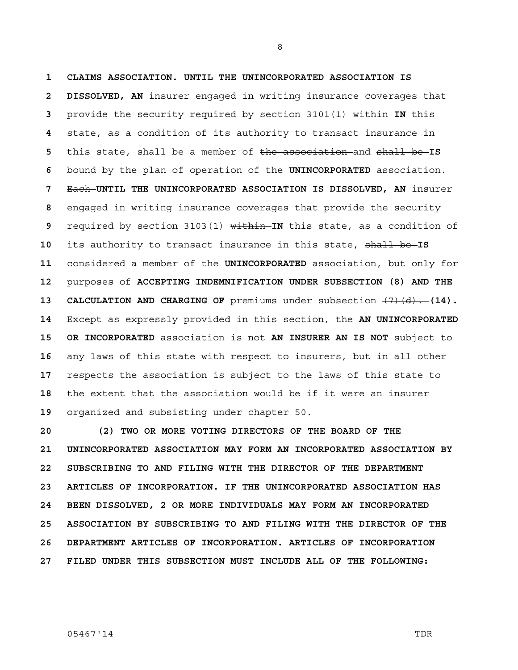**1 CLAIMS ASSOCIATION. UNTIL THE UNINCORPORATED ASSOCIATION IS 2 DISSOLVED, AN** insurer engaged in writing insurance coverages that provide the security required by section 3101(1) within **IN** this state, as a condition of its authority to transact insurance in this state, shall be a member of the association and shall be **IS**  bound by the plan of operation of the **UNINCORPORATED** association. Each **UNTIL THE UNINCORPORATED ASSOCIATION IS DISSOLVED, AN** insurer engaged in writing insurance coverages that provide the security required by section 3103(1) within **IN** this state, as a condition of its authority to transact insurance in this state, shall be **IS**  considered a member of the **UNINCORPORATED** association, but only for purposes of **ACCEPTING INDEMNIFICATION UNDER SUBSECTION (8) AND THE 13 CALCULATION AND CHARGING OF** premiums under subsection  $\left(7\right)\left(d\right)$ .  $\left(14\right)$ . Except as expressly provided in this section, the **AN UNINCORPORATED 15 OR INCORPORATED** association is not **AN INSURER AN IS NOT** subject to any laws of this state with respect to insurers, but in all other respects the association is subject to the laws of this state to the extent that the association would be if it were an insurer organized and subsisting under chapter 50.

**20 (2) TWO OR MORE VOTING DIRECTORS OF THE BOARD OF THE 21 UNINCORPORATED ASSOCIATION MAY FORM AN INCORPORATED ASSOCIATION BY 22 SUBSCRIBING TO AND FILING WITH THE DIRECTOR OF THE DEPARTMENT 23 ARTICLES OF INCORPORATION. IF THE UNINCORPORATED ASSOCIATION HAS 24 BEEN DISSOLVED, 2 OR MORE INDIVIDUALS MAY FORM AN INCORPORATED 25 ASSOCIATION BY SUBSCRIBING TO AND FILING WITH THE DIRECTOR OF THE 26 DEPARTMENT ARTICLES OF INCORPORATION. ARTICLES OF INCORPORATION 27 FILED UNDER THIS SUBSECTION MUST INCLUDE ALL OF THE FOLLOWING:**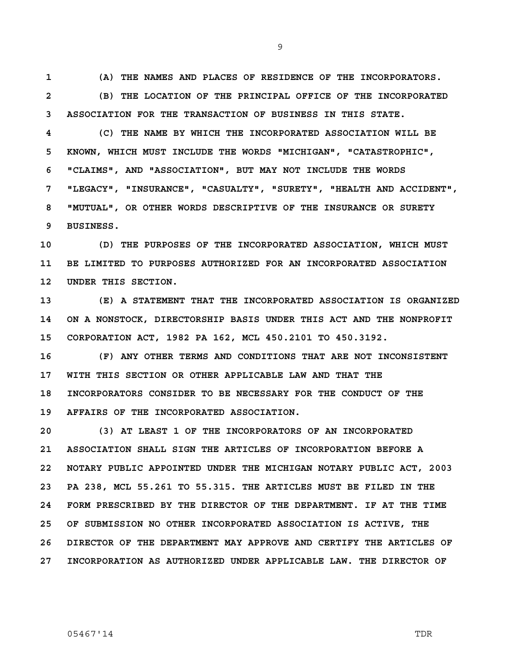**1 (A) THE NAMES AND PLACES OF RESIDENCE OF THE INCORPORATORS. 2 (B) THE LOCATION OF THE PRINCIPAL OFFICE OF THE INCORPORATED 3 ASSOCIATION FOR THE TRANSACTION OF BUSINESS IN THIS STATE.** 

**4 (C) THE NAME BY WHICH THE INCORPORATED ASSOCIATION WILL BE 5 KNOWN, WHICH MUST INCLUDE THE WORDS "MICHIGAN", "CATASTROPHIC", 6 "CLAIMS", AND "ASSOCIATION", BUT MAY NOT INCLUDE THE WORDS 7 "LEGACY", "INSURANCE", "CASUALTY", "SURETY", "HEALTH AND ACCIDENT", 8 "MUTUAL", OR OTHER WORDS DESCRIPTIVE OF THE INSURANCE OR SURETY 9 BUSINESS.** 

**10 (D) THE PURPOSES OF THE INCORPORATED ASSOCIATION, WHICH MUST 11 BE LIMITED TO PURPOSES AUTHORIZED FOR AN INCORPORATED ASSOCIATION 12 UNDER THIS SECTION.** 

**13 (E) A STATEMENT THAT THE INCORPORATED ASSOCIATION IS ORGANIZED 14 ON A NONSTOCK, DIRECTORSHIP BASIS UNDER THIS ACT AND THE NONPROFIT 15 CORPORATION ACT, 1982 PA 162, MCL 450.2101 TO 450.3192.** 

**16 (F) ANY OTHER TERMS AND CONDITIONS THAT ARE NOT INCONSISTENT 17 WITH THIS SECTION OR OTHER APPLICABLE LAW AND THAT THE 18 INCORPORATORS CONSIDER TO BE NECESSARY FOR THE CONDUCT OF THE 19 AFFAIRS OF THE INCORPORATED ASSOCIATION.** 

**20 (3) AT LEAST 1 OF THE INCORPORATORS OF AN INCORPORATED 21 ASSOCIATION SHALL SIGN THE ARTICLES OF INCORPORATION BEFORE A 22 NOTARY PUBLIC APPOINTED UNDER THE MICHIGAN NOTARY PUBLIC ACT, 2003 23 PA 238, MCL 55.261 TO 55.315. THE ARTICLES MUST BE FILED IN THE 24 FORM PRESCRIBED BY THE DIRECTOR OF THE DEPARTMENT. IF AT THE TIME 25 OF SUBMISSION NO OTHER INCORPORATED ASSOCIATION IS ACTIVE, THE 26 DIRECTOR OF THE DEPARTMENT MAY APPROVE AND CERTIFY THE ARTICLES OF 27 INCORPORATION AS AUTHORIZED UNDER APPLICABLE LAW. THE DIRECTOR OF**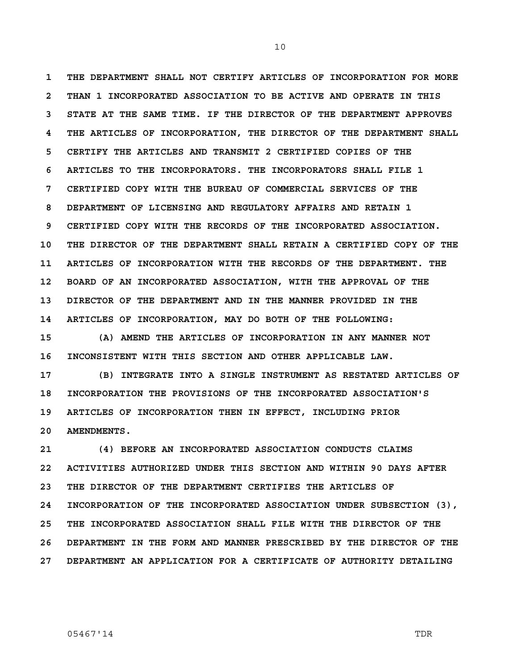**1 THE DEPARTMENT SHALL NOT CERTIFY ARTICLES OF INCORPORATION FOR MORE 2 THAN 1 INCORPORATED ASSOCIATION TO BE ACTIVE AND OPERATE IN THIS 3 STATE AT THE SAME TIME. IF THE DIRECTOR OF THE DEPARTMENT APPROVES 4 THE ARTICLES OF INCORPORATION, THE DIRECTOR OF THE DEPARTMENT SHALL 5 CERTIFY THE ARTICLES AND TRANSMIT 2 CERTIFIED COPIES OF THE 6 ARTICLES TO THE INCORPORATORS. THE INCORPORATORS SHALL FILE 1 7 CERTIFIED COPY WITH THE BUREAU OF COMMERCIAL SERVICES OF THE 8 DEPARTMENT OF LICENSING AND REGULATORY AFFAIRS AND RETAIN 1 9 CERTIFIED COPY WITH THE RECORDS OF THE INCORPORATED ASSOCIATION. 10 THE DIRECTOR OF THE DEPARTMENT SHALL RETAIN A CERTIFIED COPY OF THE 11 ARTICLES OF INCORPORATION WITH THE RECORDS OF THE DEPARTMENT. THE 12 BOARD OF AN INCORPORATED ASSOCIATION, WITH THE APPROVAL OF THE 13 DIRECTOR OF THE DEPARTMENT AND IN THE MANNER PROVIDED IN THE 14 ARTICLES OF INCORPORATION, MAY DO BOTH OF THE FOLLOWING:** 

**15 (A) AMEND THE ARTICLES OF INCORPORATION IN ANY MANNER NOT 16 INCONSISTENT WITH THIS SECTION AND OTHER APPLICABLE LAW.** 

**17 (B) INTEGRATE INTO A SINGLE INSTRUMENT AS RESTATED ARTICLES OF 18 INCORPORATION THE PROVISIONS OF THE INCORPORATED ASSOCIATION'S 19 ARTICLES OF INCORPORATION THEN IN EFFECT, INCLUDING PRIOR 20 AMENDMENTS.** 

**21 (4) BEFORE AN INCORPORATED ASSOCIATION CONDUCTS CLAIMS 22 ACTIVITIES AUTHORIZED UNDER THIS SECTION AND WITHIN 90 DAYS AFTER 23 THE DIRECTOR OF THE DEPARTMENT CERTIFIES THE ARTICLES OF 24 INCORPORATION OF THE INCORPORATED ASSOCIATION UNDER SUBSECTION (3), 25 THE INCORPORATED ASSOCIATION SHALL FILE WITH THE DIRECTOR OF THE 26 DEPARTMENT IN THE FORM AND MANNER PRESCRIBED BY THE DIRECTOR OF THE 27 DEPARTMENT AN APPLICATION FOR A CERTIFICATE OF AUTHORITY DETAILING**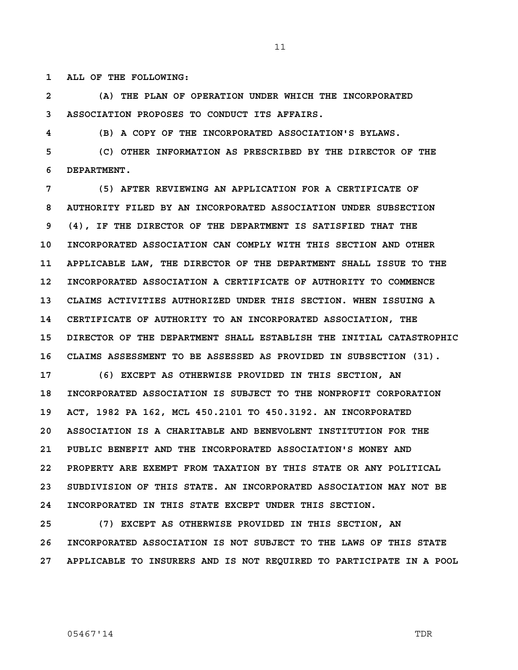**1 ALL OF THE FOLLOWING:** 

**2 (A) THE PLAN OF OPERATION UNDER WHICH THE INCORPORATED 3 ASSOCIATION PROPOSES TO CONDUCT ITS AFFAIRS.** 

**4 (B) A COPY OF THE INCORPORATED ASSOCIATION'S BYLAWS.** 

**5 (C) OTHER INFORMATION AS PRESCRIBED BY THE DIRECTOR OF THE 6 DEPARTMENT.** 

**7 (5) AFTER REVIEWING AN APPLICATION FOR A CERTIFICATE OF 8 AUTHORITY FILED BY AN INCORPORATED ASSOCIATION UNDER SUBSECTION 9 (4), IF THE DIRECTOR OF THE DEPARTMENT IS SATISFIED THAT THE 10 INCORPORATED ASSOCIATION CAN COMPLY WITH THIS SECTION AND OTHER 11 APPLICABLE LAW, THE DIRECTOR OF THE DEPARTMENT SHALL ISSUE TO THE 12 INCORPORATED ASSOCIATION A CERTIFICATE OF AUTHORITY TO COMMENCE 13 CLAIMS ACTIVITIES AUTHORIZED UNDER THIS SECTION. WHEN ISSUING A 14 CERTIFICATE OF AUTHORITY TO AN INCORPORATED ASSOCIATION, THE 15 DIRECTOR OF THE DEPARTMENT SHALL ESTABLISH THE INITIAL CATASTROPHIC 16 CLAIMS ASSESSMENT TO BE ASSESSED AS PROVIDED IN SUBSECTION (31).** 

**17 (6) EXCEPT AS OTHERWISE PROVIDED IN THIS SECTION, AN 18 INCORPORATED ASSOCIATION IS SUBJECT TO THE NONPROFIT CORPORATION 19 ACT, 1982 PA 162, MCL 450.2101 TO 450.3192. AN INCORPORATED 20 ASSOCIATION IS A CHARITABLE AND BENEVOLENT INSTITUTION FOR THE 21 PUBLIC BENEFIT AND THE INCORPORATED ASSOCIATION'S MONEY AND 22 PROPERTY ARE EXEMPT FROM TAXATION BY THIS STATE OR ANY POLITICAL 23 SUBDIVISION OF THIS STATE. AN INCORPORATED ASSOCIATION MAY NOT BE 24 INCORPORATED IN THIS STATE EXCEPT UNDER THIS SECTION.** 

**25 (7) EXCEPT AS OTHERWISE PROVIDED IN THIS SECTION, AN 26 INCORPORATED ASSOCIATION IS NOT SUBJECT TO THE LAWS OF THIS STATE 27 APPLICABLE TO INSURERS AND IS NOT REQUIRED TO PARTICIPATE IN A POOL**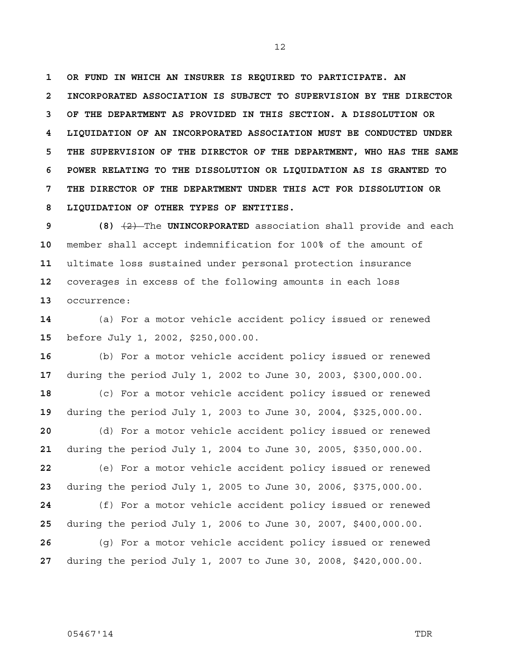**1 OR FUND IN WHICH AN INSURER IS REQUIRED TO PARTICIPATE. AN 2 INCORPORATED ASSOCIATION IS SUBJECT TO SUPERVISION BY THE DIRECTOR 3 OF THE DEPARTMENT AS PROVIDED IN THIS SECTION. A DISSOLUTION OR 4 LIQUIDATION OF AN INCORPORATED ASSOCIATION MUST BE CONDUCTED UNDER 5 THE SUPERVISION OF THE DIRECTOR OF THE DEPARTMENT, WHO HAS THE SAME 6 POWER RELATING TO THE DISSOLUTION OR LIQUIDATION AS IS GRANTED TO 7 THE DIRECTOR OF THE DEPARTMENT UNDER THIS ACT FOR DISSOLUTION OR 8 LIQUIDATION OF OTHER TYPES OF ENTITIES.** 

**9 (8)** (2) The **UNINCORPORATED** association shall provide and each member shall accept indemnification for 100% of the amount of ultimate loss sustained under personal protection insurance coverages in excess of the following amounts in each loss occurrence:

(a) For a motor vehicle accident policy issued or renewed before July 1, 2002, \$250,000.00.

(b) For a motor vehicle accident policy issued or renewed during the period July 1, 2002 to June 30, 2003, \$300,000.00. (c) For a motor vehicle accident policy issued or renewed during the period July 1, 2003 to June 30, 2004, \$325,000.00.

(d) For a motor vehicle accident policy issued or renewed during the period July 1, 2004 to June 30, 2005, \$350,000.00.

(e) For a motor vehicle accident policy issued or renewed during the period July 1, 2005 to June 30, 2006, \$375,000.00.

(f) For a motor vehicle accident policy issued or renewed during the period July 1, 2006 to June 30, 2007, \$400,000.00.

(g) For a motor vehicle accident policy issued or renewed during the period July 1, 2007 to June 30, 2008, \$420,000.00.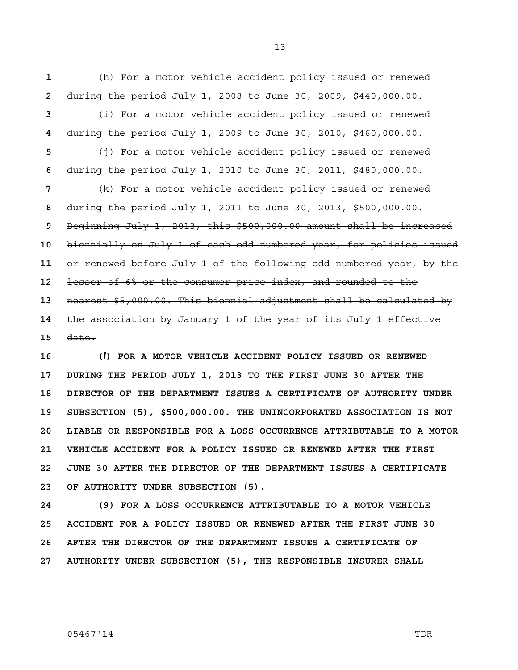**1** (h) For a motor vehicle accident policy issued or renewed **2** during the period July 1, 2008 to June 30, 2009, \$440,000.00.

**3** (i) For a motor vehicle accident policy issued or renewed **4** during the period July 1, 2009 to June 30, 2010, \$460,000.00.

**5** (j) For a motor vehicle accident policy issued or renewed **6** during the period July 1, 2010 to June 30, 2011, \$480,000.00.

(k) For a motor vehicle accident policy issued or renewed during the period July 1, 2011 to June 30, 2013, \$500,000.00. Beginning July 1, 2013, this \$500,000.00 amount shall be increased biennially on July 1 of each odd-numbered year, for policies issued or renewed before July 1 of the following odd-numbered year, by the lesser of 6% or the consumer price index, and rounded to the nearest \$5,000.00. This biennial adjustment shall be calculated by the association by January 1 of the year of its July 1 effective **15** date.

**16 (***l***) FOR A MOTOR VEHICLE ACCIDENT POLICY ISSUED OR RENEWED 17 DURING THE PERIOD JULY 1, 2013 TO THE FIRST JUNE 30 AFTER THE 18 DIRECTOR OF THE DEPARTMENT ISSUES A CERTIFICATE OF AUTHORITY UNDER 19 SUBSECTION (5), \$500,000.00. THE UNINCORPORATED ASSOCIATION IS NOT 20 LIABLE OR RESPONSIBLE FOR A LOSS OCCURRENCE ATTRIBUTABLE TO A MOTOR 21 VEHICLE ACCIDENT FOR A POLICY ISSUED OR RENEWED AFTER THE FIRST 22 JUNE 30 AFTER THE DIRECTOR OF THE DEPARTMENT ISSUES A CERTIFICATE 23 OF AUTHORITY UNDER SUBSECTION (5).** 

**24 (9) FOR A LOSS OCCURRENCE ATTRIBUTABLE TO A MOTOR VEHICLE 25 ACCIDENT FOR A POLICY ISSUED OR RENEWED AFTER THE FIRST JUNE 30 26 AFTER THE DIRECTOR OF THE DEPARTMENT ISSUES A CERTIFICATE OF 27 AUTHORITY UNDER SUBSECTION (5), THE RESPONSIBLE INSURER SHALL**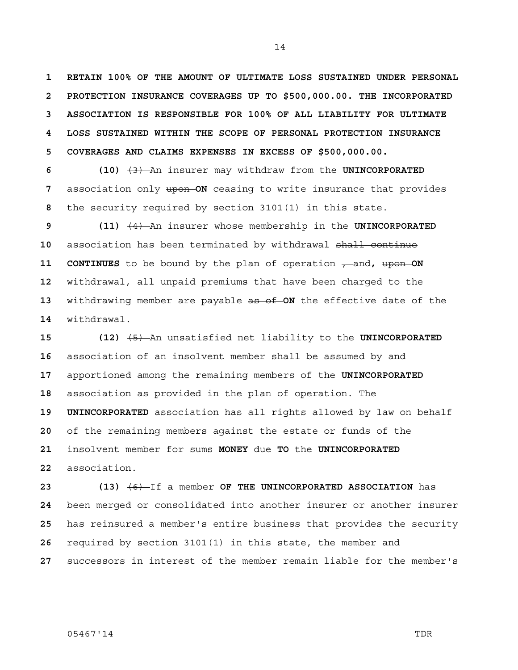**1 RETAIN 100% OF THE AMOUNT OF ULTIMATE LOSS SUSTAINED UNDER PERSONAL 2 PROTECTION INSURANCE COVERAGES UP TO \$500,000.00. THE INCORPORATED 3 ASSOCIATION IS RESPONSIBLE FOR 100% OF ALL LIABILITY FOR ULTIMATE 4 LOSS SUSTAINED WITHIN THE SCOPE OF PERSONAL PROTECTION INSURANCE 5 COVERAGES AND CLAIMS EXPENSES IN EXCESS OF \$500,000.00.** 

**6 (10)** (3) An insurer may withdraw from the **UNINCORPORATED 7** association only upon **ON** ceasing to write insurance that provides **8** the security required by section 3101(1) in this state.

**9 (11)** (4) An insurer whose membership in the **UNINCORPORATED**  association has been terminated by withdrawal shall continue **11 CONTINUES** to be bound by the plan of operation  $\tau$  and, upon ON withdrawal, all unpaid premiums that have been charged to the withdrawing member are payable as of **ON** the effective date of the withdrawal.

**15 (12)** (5) An unsatisfied net liability to the **UNINCORPORATED**  association of an insolvent member shall be assumed by and apportioned among the remaining members of the **UNINCORPORATED**  association as provided in the plan of operation. The **19 UNINCORPORATED** association has all rights allowed by law on behalf of the remaining members against the estate or funds of the insolvent member for sums **MONEY** due **TO** the **UNINCORPORATED**  association.

**23 (13)** (6) If a member **OF THE UNINCORPORATED ASSOCIATION** has been merged or consolidated into another insurer or another insurer has reinsured a member's entire business that provides the security required by section 3101(1) in this state, the member and successors in interest of the member remain liable for the member's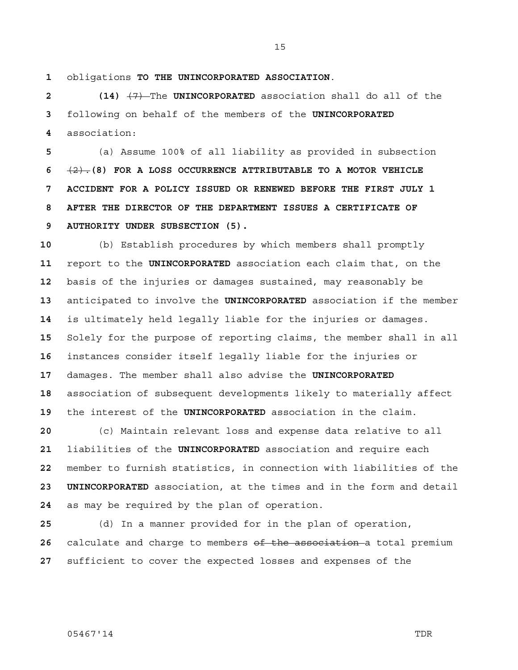obligations **TO THE UNINCORPORATED ASSOCIATION**.

**2 (14)** (7) The **UNINCORPORATED** association shall do all of the following on behalf of the members of the **UNINCORPORATED**  association:

(a) Assume 100% of all liability as provided in subsection (2).**(8) FOR A LOSS OCCURRENCE ATTRIBUTABLE TO A MOTOR VEHICLE 7 ACCIDENT FOR A POLICY ISSUED OR RENEWED BEFORE THE FIRST JULY 1 8 AFTER THE DIRECTOR OF THE DEPARTMENT ISSUES A CERTIFICATE OF 9 AUTHORITY UNDER SUBSECTION (5).**

(b) Establish procedures by which members shall promptly report to the **UNINCORPORATED** association each claim that, on the basis of the injuries or damages sustained, may reasonably be anticipated to involve the **UNINCORPORATED** association if the member is ultimately held legally liable for the injuries or damages. Solely for the purpose of reporting claims, the member shall in all instances consider itself legally liable for the injuries or damages. The member shall also advise the **UNINCORPORATED**  association of subsequent developments likely to materially affect the interest of the **UNINCORPORATED** association in the claim.

(c) Maintain relevant loss and expense data relative to all liabilities of the **UNINCORPORATED** association and require each member to furnish statistics, in connection with liabilities of the **23 UNINCORPORATED** association, at the times and in the form and detail as may be required by the plan of operation.

(d) In a manner provided for in the plan of operation, calculate and charge to members of the association a total premium sufficient to cover the expected losses and expenses of the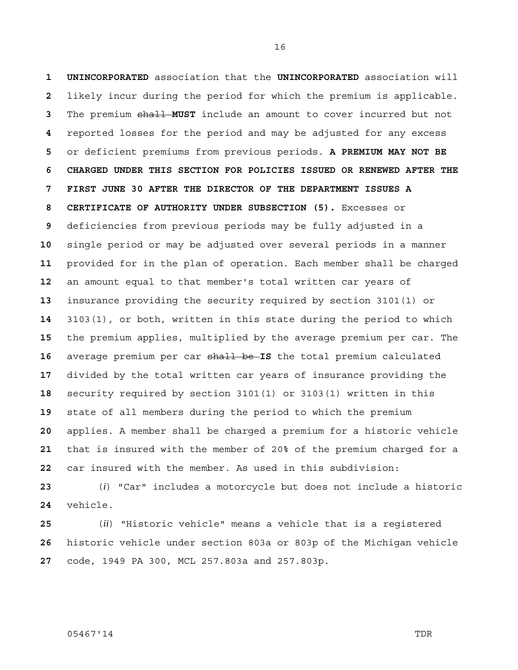**1 UNINCORPORATED** association that the **UNINCORPORATED** association will likely incur during the period for which the premium is applicable. The premium shall **MUST** include an amount to cover incurred but not reported losses for the period and may be adjusted for any excess or deficient premiums from previous periods. **A PREMIUM MAY NOT BE 6 CHARGED UNDER THIS SECTION FOR POLICIES ISSUED OR RENEWED AFTER THE 7 FIRST JUNE 30 AFTER THE DIRECTOR OF THE DEPARTMENT ISSUES A 8 CERTIFICATE OF AUTHORITY UNDER SUBSECTION (5).** Excesses or deficiencies from previous periods may be fully adjusted in a single period or may be adjusted over several periods in a manner provided for in the plan of operation. Each member shall be charged an amount equal to that member's total written car years of insurance providing the security required by section 3101(1) or 3103(1), or both, written in this state during the period to which the premium applies, multiplied by the average premium per car. The average premium per car shall be **IS** the total premium calculated divided by the total written car years of insurance providing the security required by section 3101(1) or 3103(1) written in this state of all members during the period to which the premium applies. A member shall be charged a premium for a historic vehicle that is insured with the member of 20% of the premium charged for a car insured with the member. As used in this subdivision:

(*i*) "Car" includes a motorcycle but does not include a historic vehicle.

(*ii*) "Historic vehicle" means a vehicle that is a registered historic vehicle under section 803a or 803p of the Michigan vehicle code, 1949 PA 300, MCL 257.803a and 257.803p.

05467'14 TDR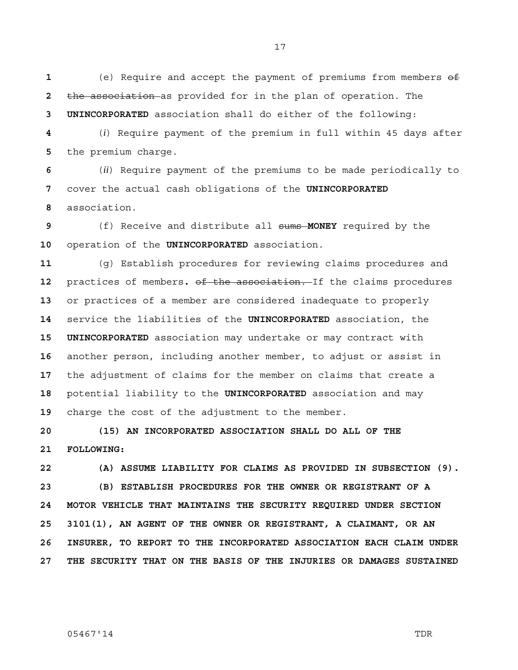(e) Require and accept the payment of premiums from members of the association as provided for in the plan of operation. The **3 UNINCORPORATED** association shall do either of the following:

(*i*) Require payment of the premium in full within 45 days after the premium charge.

(*ii*) Require payment of the premiums to be made periodically to cover the actual cash obligations of the **UNINCORPORATED**  association.

(f) Receive and distribute all sums **MONEY** required by the operation of the **UNINCORPORATED** association.

(g) Establish procedures for reviewing claims procedures and practices of members**.** of the association. If the claims procedures or practices of a member are considered inadequate to properly service the liabilities of the **UNINCORPORATED** association, the **15 UNINCORPORATED** association may undertake or may contract with another person, including another member, to adjust or assist in the adjustment of claims for the member on claims that create a potential liability to the **UNINCORPORATED** association and may charge the cost of the adjustment to the member.

**20 (15) AN INCORPORATED ASSOCIATION SHALL DO ALL OF THE 21 FOLLOWING:** 

**22 (A) ASSUME LIABILITY FOR CLAIMS AS PROVIDED IN SUBSECTION (9). 23 (B) ESTABLISH PROCEDURES FOR THE OWNER OR REGISTRANT OF A 24 MOTOR VEHICLE THAT MAINTAINS THE SECURITY REQUIRED UNDER SECTION 25 3101(1), AN AGENT OF THE OWNER OR REGISTRANT, A CLAIMANT, OR AN 26 INSURER, TO REPORT TO THE INCORPORATED ASSOCIATION EACH CLAIM UNDER 27 THE SECURITY THAT ON THE BASIS OF THE INJURIES OR DAMAGES SUSTAINED**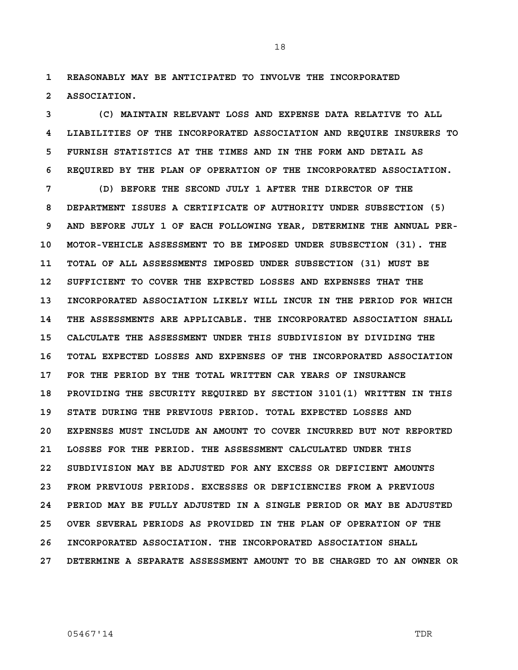**1 REASONABLY MAY BE ANTICIPATED TO INVOLVE THE INCORPORATED 2 ASSOCIATION.** 

**3 (C) MAINTAIN RELEVANT LOSS AND EXPENSE DATA RELATIVE TO ALL 4 LIABILITIES OF THE INCORPORATED ASSOCIATION AND REQUIRE INSURERS TO 5 FURNISH STATISTICS AT THE TIMES AND IN THE FORM AND DETAIL AS 6 REQUIRED BY THE PLAN OF OPERATION OF THE INCORPORATED ASSOCIATION.** 

**7 (D) BEFORE THE SECOND JULY 1 AFTER THE DIRECTOR OF THE 8 DEPARTMENT ISSUES A CERTIFICATE OF AUTHORITY UNDER SUBSECTION (5) 9 AND BEFORE JULY 1 OF EACH FOLLOWING YEAR, DETERMINE THE ANNUAL PER-10 MOTOR-VEHICLE ASSESSMENT TO BE IMPOSED UNDER SUBSECTION (31). THE 11 TOTAL OF ALL ASSESSMENTS IMPOSED UNDER SUBSECTION (31) MUST BE 12 SUFFICIENT TO COVER THE EXPECTED LOSSES AND EXPENSES THAT THE 13 INCORPORATED ASSOCIATION LIKELY WILL INCUR IN THE PERIOD FOR WHICH 14 THE ASSESSMENTS ARE APPLICABLE. THE INCORPORATED ASSOCIATION SHALL 15 CALCULATE THE ASSESSMENT UNDER THIS SUBDIVISION BY DIVIDING THE 16 TOTAL EXPECTED LOSSES AND EXPENSES OF THE INCORPORATED ASSOCIATION 17 FOR THE PERIOD BY THE TOTAL WRITTEN CAR YEARS OF INSURANCE 18 PROVIDING THE SECURITY REQUIRED BY SECTION 3101(1) WRITTEN IN THIS 19 STATE DURING THE PREVIOUS PERIOD. TOTAL EXPECTED LOSSES AND 20 EXPENSES MUST INCLUDE AN AMOUNT TO COVER INCURRED BUT NOT REPORTED 21 LOSSES FOR THE PERIOD. THE ASSESSMENT CALCULATED UNDER THIS 22 SUBDIVISION MAY BE ADJUSTED FOR ANY EXCESS OR DEFICIENT AMOUNTS 23 FROM PREVIOUS PERIODS. EXCESSES OR DEFICIENCIES FROM A PREVIOUS 24 PERIOD MAY BE FULLY ADJUSTED IN A SINGLE PERIOD OR MAY BE ADJUSTED 25 OVER SEVERAL PERIODS AS PROVIDED IN THE PLAN OF OPERATION OF THE 26 INCORPORATED ASSOCIATION. THE INCORPORATED ASSOCIATION SHALL 27 DETERMINE A SEPARATE ASSESSMENT AMOUNT TO BE CHARGED TO AN OWNER OR**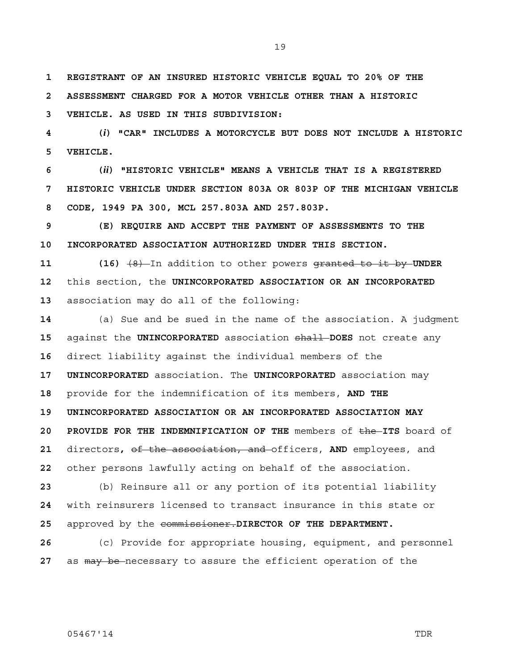19

**1 REGISTRANT OF AN INSURED HISTORIC VEHICLE EQUAL TO 20% OF THE** 

**2 ASSESSMENT CHARGED FOR A MOTOR VEHICLE OTHER THAN A HISTORIC** 

**3 VEHICLE. AS USED IN THIS SUBDIVISION:** 

**4 (***i***) "CAR" INCLUDES A MOTORCYCLE BUT DOES NOT INCLUDE A HISTORIC 5 VEHICLE.** 

**6 (***ii***) "HISTORIC VEHICLE" MEANS A VEHICLE THAT IS A REGISTERED 7 HISTORIC VEHICLE UNDER SECTION 803A OR 803P OF THE MICHIGAN VEHICLE 8 CODE, 1949 PA 300, MCL 257.803A AND 257.803P.** 

**9 (E) REQUIRE AND ACCEPT THE PAYMENT OF ASSESSMENTS TO THE 10 INCORPORATED ASSOCIATION AUTHORIZED UNDER THIS SECTION.** 

**11 (16)** (8) In addition to other powers granted to it by **UNDER 12** this section, the **UNINCORPORATED ASSOCIATION OR AN INCORPORATED 13** association may do all of the following:

(a) Sue and be sued in the name of the association. A judgment against the **UNINCORPORATED** association shall **DOES** not create any direct liability against the individual members of the **17 UNINCORPORATED** association. The **UNINCORPORATED** association may provide for the indemnification of its members, **AND THE 19 UNINCORPORATED ASSOCIATION OR AN INCORPORATED ASSOCIATION MAY 20 PROVIDE FOR THE INDEMNIFICATION OF THE** members of the **ITS** board of directors**,** of the association, and officers, **AND** employees, and other persons lawfully acting on behalf of the association.

**23** (b) Reinsure all or any portion of its potential liability **24** with reinsurers licensed to transact insurance in this state or **25** approved by the commissioner.**DIRECTOR OF THE DEPARTMENT.**

**26** (c) Provide for appropriate housing, equipment, and personnel **27** as may be necessary to assure the efficient operation of the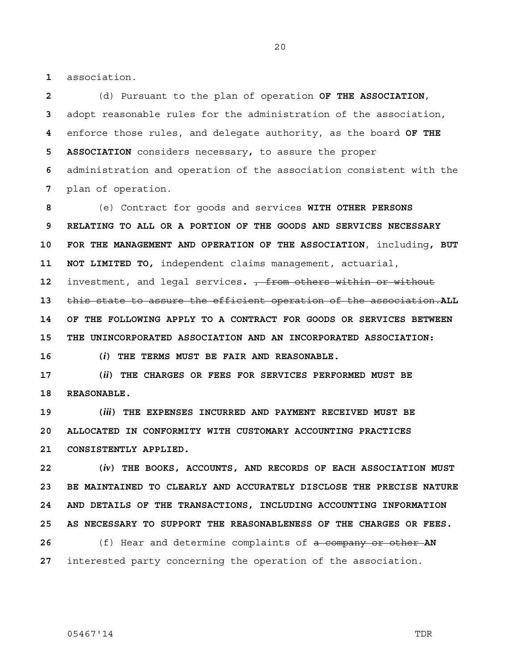**1** association.

(d) Pursuant to the plan of operation **OF THE ASSOCIATION**, adopt reasonable rules for the administration of the association, enforce those rules, and delegate authority, as the board **OF THE 5 ASSOCIATION** considers necessary**,** to assure the proper administration and operation of the association consistent with the plan of operation.

**8** (e) Contract for goods and services **WITH OTHER PERSONS 9 RELATING TO ALL OR A PORTION OF THE GOODS AND SERVICES NECESSARY 10 FOR THE MANAGEMENT AND OPERATION OF THE ASSOCIATION**, including**, BUT 11 NOT LIMITED TO,** independent claims management, actuarial, **12** investment, and legal services**.** , from others within or without **13** this state to assure the efficient operation of the association.**ALL 14 OF THE FOLLOWING APPLY TO A CONTRACT FOR GOODS OR SERVICES BETWEEN 15 THE UNINCORPORATED ASSOCIATION AND AN INCORPORATED ASSOCIATION: 16 (***i***) THE TERMS MUST BE FAIR AND REASONABLE.** 

**17 (***ii***) THE CHARGES OR FEES FOR SERVICES PERFORMED MUST BE 18 REASONABLE.** 

**19 (***iii***) THE EXPENSES INCURRED AND PAYMENT RECEIVED MUST BE 20 ALLOCATED IN CONFORMITY WITH CUSTOMARY ACCOUNTING PRACTICES 21 CONSISTENTLY APPLIED.** 

**22 (***iv***) THE BOOKS, ACCOUNTS, AND RECORDS OF EACH ASSOCIATION MUST 23 BE MAINTAINED TO CLEARLY AND ACCURATELY DISCLOSE THE PRECISE NATURE 24 AND DETAILS OF THE TRANSACTIONS, INCLUDING ACCOUNTING INFORMATION 25 AS NECESSARY TO SUPPORT THE REASONABLENESS OF THE CHARGES OR FEES. 26** (f) Hear and determine complaints of a company or other **AN** 

**27** interested party concerning the operation of the association.

05467'14 TDR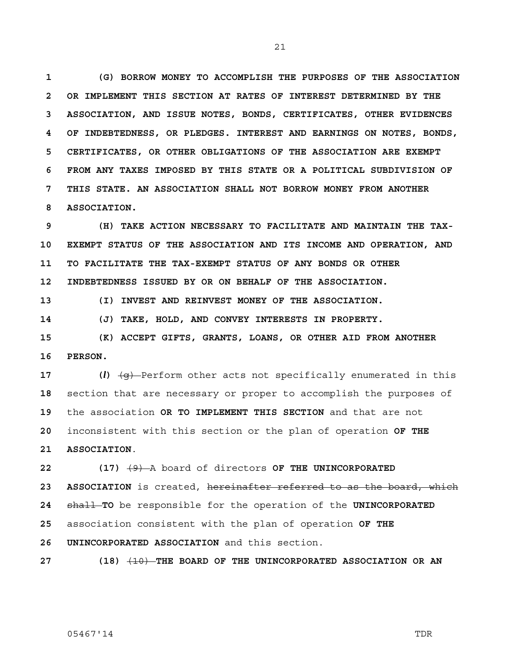**1 (G) BORROW MONEY TO ACCOMPLISH THE PURPOSES OF THE ASSOCIATION 2 OR IMPLEMENT THIS SECTION AT RATES OF INTEREST DETERMINED BY THE 3 ASSOCIATION, AND ISSUE NOTES, BONDS, CERTIFICATES, OTHER EVIDENCES 4 OF INDEBTEDNESS, OR PLEDGES. INTEREST AND EARNINGS ON NOTES, BONDS, 5 CERTIFICATES, OR OTHER OBLIGATIONS OF THE ASSOCIATION ARE EXEMPT 6 FROM ANY TAXES IMPOSED BY THIS STATE OR A POLITICAL SUBDIVISION OF 7 THIS STATE. AN ASSOCIATION SHALL NOT BORROW MONEY FROM ANOTHER 8 ASSOCIATION.** 

**9 (H) TAKE ACTION NECESSARY TO FACILITATE AND MAINTAIN THE TAX-10 EXEMPT STATUS OF THE ASSOCIATION AND ITS INCOME AND OPERATION, AND 11 TO FACILITATE THE TAX-EXEMPT STATUS OF ANY BONDS OR OTHER 12 INDEBTEDNESS ISSUED BY OR ON BEHALF OF THE ASSOCIATION.** 

**13 (I) INVEST AND REINVEST MONEY OF THE ASSOCIATION.** 

**14 (J) TAKE, HOLD, AND CONVEY INTERESTS IN PROPERTY.** 

**15 (K) ACCEPT GIFTS, GRANTS, LOANS, OR OTHER AID FROM ANOTHER 16 PERSON.** 

 (*l*)  $\left(\frac{q}{q}\right)$  Perform other acts not specifically enumerated in this section that are necessary or proper to accomplish the purposes of the association **OR TO IMPLEMENT THIS SECTION** and that are not inconsistent with this section or the plan of operation **OF THE 21 ASSOCIATION**.

**22 (17)** (9) A board of directors **OF THE UNINCORPORATED 23 ASSOCIATION** is created, hereinafter referred to as the board, which **24** shall **TO** be responsible for the operation of the **UNINCORPORATED 25** association consistent with the plan of operation **OF THE 26 UNINCORPORATED ASSOCIATION** and this section.

**27 (18)** (10) **THE BOARD OF THE UNINCORPORATED ASSOCIATION OR AN**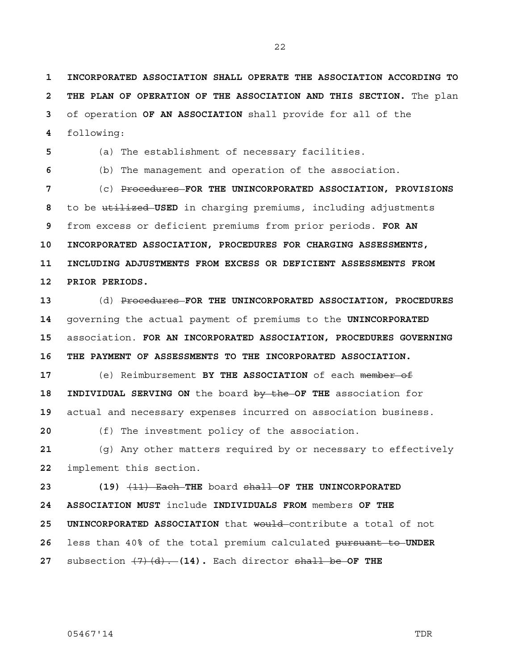**1 INCORPORATED ASSOCIATION SHALL OPERATE THE ASSOCIATION ACCORDING TO 2 THE PLAN OF OPERATION OF THE ASSOCIATION AND THIS SECTION.** The plan of operation **OF AN ASSOCIATION** shall provide for all of the following:

(a) The establishment of necessary facilities.

(b) The management and operation of the association.

(c) Procedures **FOR THE UNINCORPORATED ASSOCIATION, PROVISIONS**  to be utilized **USED** in charging premiums, including adjustments from excess or deficient premiums from prior periods. **FOR AN 10 INCORPORATED ASSOCIATION, PROCEDURES FOR CHARGING ASSESSMENTS, 11 INCLUDING ADJUSTMENTS FROM EXCESS OR DEFICIENT ASSESSMENTS FROM 12 PRIOR PERIODS.**

(d) Procedures **FOR THE UNINCORPORATED ASSOCIATION, PROCEDURES**  governing the actual payment of premiums to the **UNINCORPORATED**  association. **FOR AN INCORPORATED ASSOCIATION, PROCEDURES GOVERNING 16 THE PAYMENT OF ASSESSMENTS TO THE INCORPORATED ASSOCIATION.**

(e) Reimbursement **BY THE ASSOCIATION** of each member of **18 INDIVIDUAL SERVING ON** the board by the **OF THE** association for actual and necessary expenses incurred on association business.

(f) The investment policy of the association.

(g) Any other matters required by or necessary to effectively implement this section.

**23 (19)** (11) Each **THE** board shall **OF THE UNINCORPORATED 24 ASSOCIATION MUST** include **INDIVIDUALS FROM** members **OF THE 25 UNINCORPORATED ASSOCIATION** that would contribute a total of not less than 40% of the total premium calculated pursuant to **UNDER**  subsection (7)(d). **(14).** Each director shall be **OF THE**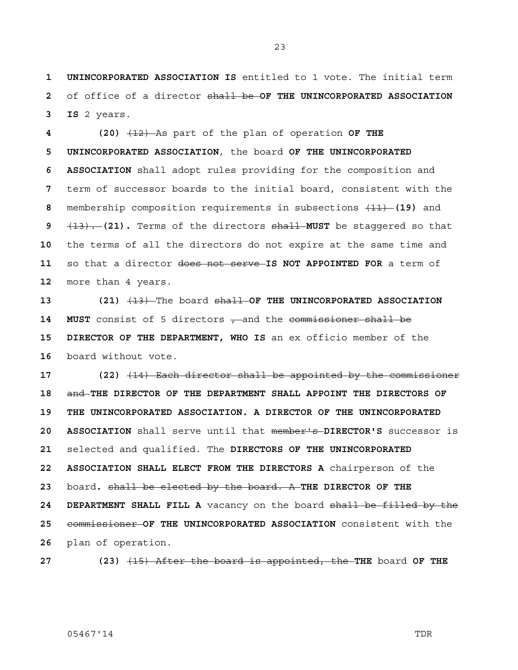**1 UNINCORPORATED ASSOCIATION IS** entitled to 1 vote. The initial term **2** of office of a director shall be **OF THE UNINCORPORATED ASSOCIATION 3 IS** 2 years.

**4 (20)** (12) As part of the plan of operation **OF THE 5 UNINCORPORATED ASSOCIATION**, the board **OF THE UNINCORPORATED 6 ASSOCIATION** shall adopt rules providing for the composition and term of successor boards to the initial board, consistent with the membership composition requirements in subsections (11) **(19)** and (13). **(21).** Terms of the directors shall **MUST** be staggered so that the terms of all the directors do not expire at the same time and so that a director does not serve **IS NOT APPOINTED FOR** a term of more than 4 years.

**13 (21)** (13) The board shall **OF THE UNINCORPORATED ASSOCIATION**  14 **MUST** consist of 5 directors  $\tau$  and the commissioner shall be **15 DIRECTOR OF THE DEPARTMENT, WHO IS** an ex officio member of the **16** board without vote.

**17 (22)** (14) Each director shall be appointed by the commissioner **18** and **THE DIRECTOR OF THE DEPARTMENT SHALL APPOINT THE DIRECTORS OF 19 THE UNINCORPORATED ASSOCIATION. A DIRECTOR OF THE UNINCORPORATED 20 ASSOCIATION** shall serve until that member's **DIRECTOR'S** successor is **21** selected and qualified. The **DIRECTORS OF THE UNINCORPORATED 22 ASSOCIATION SHALL ELECT FROM THE DIRECTORS A** chairperson of the **23** board**.** shall be elected by the board. A **THE DIRECTOR OF THE 24 DEPARTMENT SHALL FILL A** vacancy on the board shall be filled by the **25** commissioner **OF THE UNINCORPORATED ASSOCIATION** consistent with the **26** plan of operation.

**27 (23)** (15) After the board is appointed, the **THE** board **OF THE** 

### 05467'14 TDR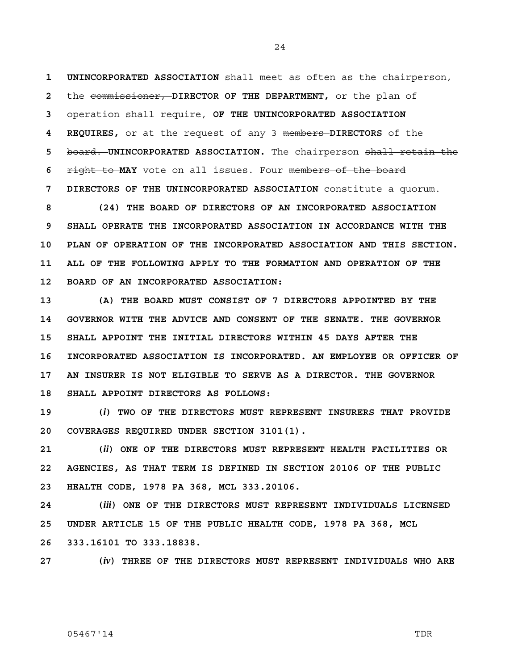**1 UNINCORPORATED ASSOCIATION** shall meet as often as the chairperson, **2** the commissioner, **DIRECTOR OF THE DEPARTMENT,** or the plan of **3** operation shall require, **OF THE UNINCORPORATED ASSOCIATION 4 REQUIRES,** or at the request of any 3 members **DIRECTORS** of the **5** board. **UNINCORPORATED ASSOCIATION.** The chairperson shall retain the **6** right to **MAY** vote on all issues. Four members of the board **7 DIRECTORS OF THE UNINCORPORATED ASSOCIATION** constitute a quorum.

**8 (24) THE BOARD OF DIRECTORS OF AN INCORPORATED ASSOCIATION 9 SHALL OPERATE THE INCORPORATED ASSOCIATION IN ACCORDANCE WITH THE 10 PLAN OF OPERATION OF THE INCORPORATED ASSOCIATION AND THIS SECTION. 11 ALL OF THE FOLLOWING APPLY TO THE FORMATION AND OPERATION OF THE 12 BOARD OF AN INCORPORATED ASSOCIATION:** 

**13 (A) THE BOARD MUST CONSIST OF 7 DIRECTORS APPOINTED BY THE 14 GOVERNOR WITH THE ADVICE AND CONSENT OF THE SENATE. THE GOVERNOR 15 SHALL APPOINT THE INITIAL DIRECTORS WITHIN 45 DAYS AFTER THE 16 INCORPORATED ASSOCIATION IS INCORPORATED. AN EMPLOYEE OR OFFICER OF 17 AN INSURER IS NOT ELIGIBLE TO SERVE AS A DIRECTOR. THE GOVERNOR 18 SHALL APPOINT DIRECTORS AS FOLLOWS:** 

**19 (***i***) TWO OF THE DIRECTORS MUST REPRESENT INSURERS THAT PROVIDE 20 COVERAGES REQUIRED UNDER SECTION 3101(1).** 

**21 (***ii***) ONE OF THE DIRECTORS MUST REPRESENT HEALTH FACILITIES OR 22 AGENCIES, AS THAT TERM IS DEFINED IN SECTION 20106 OF THE PUBLIC 23 HEALTH CODE, 1978 PA 368, MCL 333.20106.** 

**24 (***iii***) ONE OF THE DIRECTORS MUST REPRESENT INDIVIDUALS LICENSED 25 UNDER ARTICLE 15 OF THE PUBLIC HEALTH CODE, 1978 PA 368, MCL 26 333.16101 TO 333.18838.** 

**27 (***iv***) THREE OF THE DIRECTORS MUST REPRESENT INDIVIDUALS WHO ARE** 

### 05467'14 TDR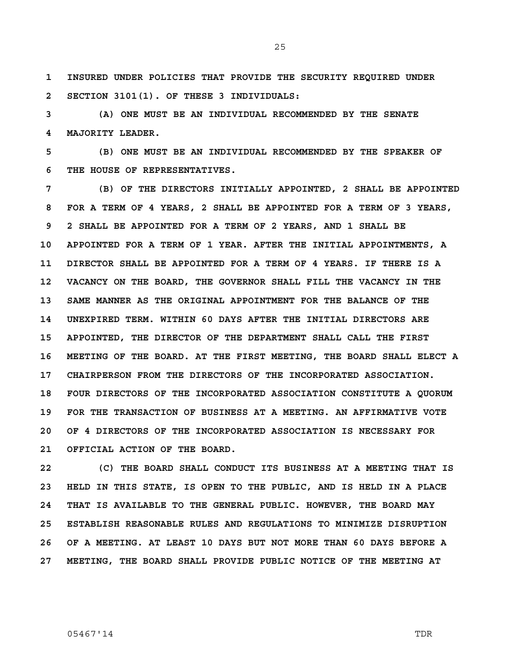**1 INSURED UNDER POLICIES THAT PROVIDE THE SECURITY REQUIRED UNDER 2 SECTION 3101(1). OF THESE 3 INDIVIDUALS:** 

**3 (A) ONE MUST BE AN INDIVIDUAL RECOMMENDED BY THE SENATE 4 MAJORITY LEADER.** 

**5 (B) ONE MUST BE AN INDIVIDUAL RECOMMENDED BY THE SPEAKER OF 6 THE HOUSE OF REPRESENTATIVES.** 

**7 (B) OF THE DIRECTORS INITIALLY APPOINTED, 2 SHALL BE APPOINTED 8 FOR A TERM OF 4 YEARS, 2 SHALL BE APPOINTED FOR A TERM OF 3 YEARS, 9 2 SHALL BE APPOINTED FOR A TERM OF 2 YEARS, AND 1 SHALL BE 10 APPOINTED FOR A TERM OF 1 YEAR. AFTER THE INITIAL APPOINTMENTS, A 11 DIRECTOR SHALL BE APPOINTED FOR A TERM OF 4 YEARS. IF THERE IS A 12 VACANCY ON THE BOARD, THE GOVERNOR SHALL FILL THE VACANCY IN THE 13 SAME MANNER AS THE ORIGINAL APPOINTMENT FOR THE BALANCE OF THE 14 UNEXPIRED TERM. WITHIN 60 DAYS AFTER THE INITIAL DIRECTORS ARE 15 APPOINTED, THE DIRECTOR OF THE DEPARTMENT SHALL CALL THE FIRST 16 MEETING OF THE BOARD. AT THE FIRST MEETING, THE BOARD SHALL ELECT A 17 CHAIRPERSON FROM THE DIRECTORS OF THE INCORPORATED ASSOCIATION. 18 FOUR DIRECTORS OF THE INCORPORATED ASSOCIATION CONSTITUTE A QUORUM 19 FOR THE TRANSACTION OF BUSINESS AT A MEETING. AN AFFIRMATIVE VOTE 20 OF 4 DIRECTORS OF THE INCORPORATED ASSOCIATION IS NECESSARY FOR 21 OFFICIAL ACTION OF THE BOARD.** 

**22 (C) THE BOARD SHALL CONDUCT ITS BUSINESS AT A MEETING THAT IS 23 HELD IN THIS STATE, IS OPEN TO THE PUBLIC, AND IS HELD IN A PLACE 24 THAT IS AVAILABLE TO THE GENERAL PUBLIC. HOWEVER, THE BOARD MAY 25 ESTABLISH REASONABLE RULES AND REGULATIONS TO MINIMIZE DISRUPTION 26 OF A MEETING. AT LEAST 10 DAYS BUT NOT MORE THAN 60 DAYS BEFORE A 27 MEETING, THE BOARD SHALL PROVIDE PUBLIC NOTICE OF THE MEETING AT**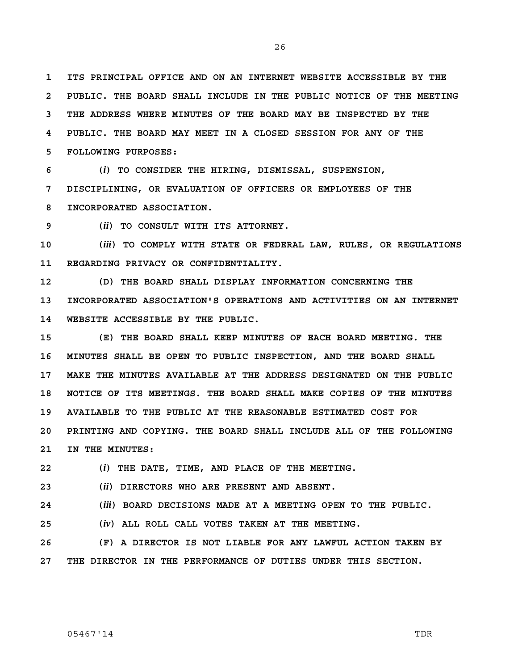**1 ITS PRINCIPAL OFFICE AND ON AN INTERNET WEBSITE ACCESSIBLE BY THE 2 PUBLIC. THE BOARD SHALL INCLUDE IN THE PUBLIC NOTICE OF THE MEETING 3 THE ADDRESS WHERE MINUTES OF THE BOARD MAY BE INSPECTED BY THE 4 PUBLIC. THE BOARD MAY MEET IN A CLOSED SESSION FOR ANY OF THE 5 FOLLOWING PURPOSES:** 

**6 (***i***) TO CONSIDER THE HIRING, DISMISSAL, SUSPENSION, 7 DISCIPLINING, OR EVALUATION OF OFFICERS OR EMPLOYEES OF THE 8 INCORPORATED ASSOCIATION.** 

**9 (***ii***) TO CONSULT WITH ITS ATTORNEY.** 

**10 (***iii***) TO COMPLY WITH STATE OR FEDERAL LAW, RULES, OR REGULATIONS 11 REGARDING PRIVACY OR CONFIDENTIALITY.** 

**12 (D) THE BOARD SHALL DISPLAY INFORMATION CONCERNING THE 13 INCORPORATED ASSOCIATION'S OPERATIONS AND ACTIVITIES ON AN INTERNET 14 WEBSITE ACCESSIBLE BY THE PUBLIC.** 

**15 (E) THE BOARD SHALL KEEP MINUTES OF EACH BOARD MEETING. THE 16 MINUTES SHALL BE OPEN TO PUBLIC INSPECTION, AND THE BOARD SHALL 17 MAKE THE MINUTES AVAILABLE AT THE ADDRESS DESIGNATED ON THE PUBLIC 18 NOTICE OF ITS MEETINGS. THE BOARD SHALL MAKE COPIES OF THE MINUTES 19 AVAILABLE TO THE PUBLIC AT THE REASONABLE ESTIMATED COST FOR 20 PRINTING AND COPYING. THE BOARD SHALL INCLUDE ALL OF THE FOLLOWING 21 IN THE MINUTES:** 

**22 (***i***) THE DATE, TIME, AND PLACE OF THE MEETING.** 

**23 (***ii***) DIRECTORS WHO ARE PRESENT AND ABSENT.** 

**24 (***iii***) BOARD DECISIONS MADE AT A MEETING OPEN TO THE PUBLIC.** 

**25 (***iv***) ALL ROLL CALL VOTES TAKEN AT THE MEETING.** 

**26 (F) A DIRECTOR IS NOT LIABLE FOR ANY LAWFUL ACTION TAKEN BY 27 THE DIRECTOR IN THE PERFORMANCE OF DUTIES UNDER THIS SECTION.**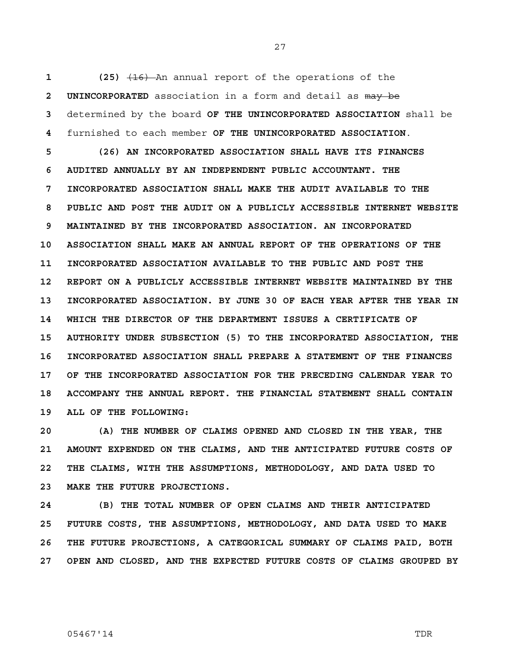(25)  $(16)$  An annual report of the operations of the **2 UNINCORPORATED** association in a form and detail as may be determined by the board **OF THE UNINCORPORATED ASSOCIATION** shall be furnished to each member **OF THE UNINCORPORATED ASSOCIATION**.

**5 (26) AN INCORPORATED ASSOCIATION SHALL HAVE ITS FINANCES 6 AUDITED ANNUALLY BY AN INDEPENDENT PUBLIC ACCOUNTANT. THE 7 INCORPORATED ASSOCIATION SHALL MAKE THE AUDIT AVAILABLE TO THE 8 PUBLIC AND POST THE AUDIT ON A PUBLICLY ACCESSIBLE INTERNET WEBSITE 9 MAINTAINED BY THE INCORPORATED ASSOCIATION. AN INCORPORATED 10 ASSOCIATION SHALL MAKE AN ANNUAL REPORT OF THE OPERATIONS OF THE 11 INCORPORATED ASSOCIATION AVAILABLE TO THE PUBLIC AND POST THE 12 REPORT ON A PUBLICLY ACCESSIBLE INTERNET WEBSITE MAINTAINED BY THE 13 INCORPORATED ASSOCIATION. BY JUNE 30 OF EACH YEAR AFTER THE YEAR IN 14 WHICH THE DIRECTOR OF THE DEPARTMENT ISSUES A CERTIFICATE OF 15 AUTHORITY UNDER SUBSECTION (5) TO THE INCORPORATED ASSOCIATION, THE 16 INCORPORATED ASSOCIATION SHALL PREPARE A STATEMENT OF THE FINANCES 17 OF THE INCORPORATED ASSOCIATION FOR THE PRECEDING CALENDAR YEAR TO 18 ACCOMPANY THE ANNUAL REPORT. THE FINANCIAL STATEMENT SHALL CONTAIN 19 ALL OF THE FOLLOWING:** 

**20 (A) THE NUMBER OF CLAIMS OPENED AND CLOSED IN THE YEAR, THE 21 AMOUNT EXPENDED ON THE CLAIMS, AND THE ANTICIPATED FUTURE COSTS OF 22 THE CLAIMS, WITH THE ASSUMPTIONS, METHODOLOGY, AND DATA USED TO 23 MAKE THE FUTURE PROJECTIONS.** 

**24 (B) THE TOTAL NUMBER OF OPEN CLAIMS AND THEIR ANTICIPATED 25 FUTURE COSTS, THE ASSUMPTIONS, METHODOLOGY, AND DATA USED TO MAKE 26 THE FUTURE PROJECTIONS, A CATEGORICAL SUMMARY OF CLAIMS PAID, BOTH 27 OPEN AND CLOSED, AND THE EXPECTED FUTURE COSTS OF CLAIMS GROUPED BY**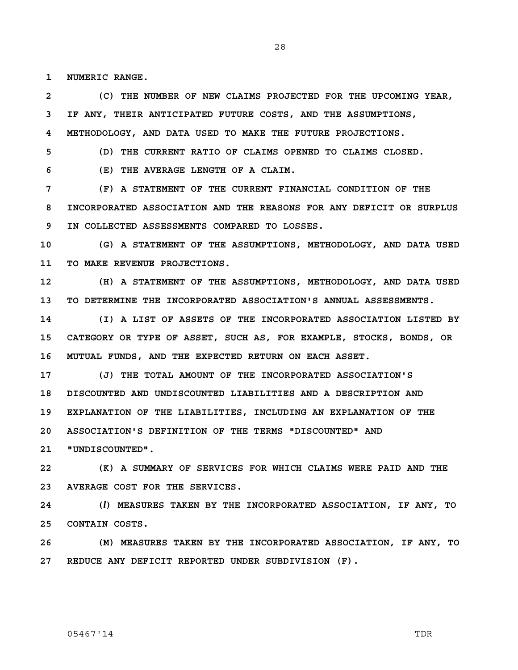**1 NUMERIC RANGE.** 

**2 (C) THE NUMBER OF NEW CLAIMS PROJECTED FOR THE UPCOMING YEAR, 3 IF ANY, THEIR ANTICIPATED FUTURE COSTS, AND THE ASSUMPTIONS, 4 METHODOLOGY, AND DATA USED TO MAKE THE FUTURE PROJECTIONS.** 

**5 (D) THE CURRENT RATIO OF CLAIMS OPENED TO CLAIMS CLOSED.** 

**6 (E) THE AVERAGE LENGTH OF A CLAIM.** 

**7 (F) A STATEMENT OF THE CURRENT FINANCIAL CONDITION OF THE 8 INCORPORATED ASSOCIATION AND THE REASONS FOR ANY DEFICIT OR SURPLUS 9 IN COLLECTED ASSESSMENTS COMPARED TO LOSSES.** 

**10 (G) A STATEMENT OF THE ASSUMPTIONS, METHODOLOGY, AND DATA USED 11 TO MAKE REVENUE PROJECTIONS.** 

**12 (H) A STATEMENT OF THE ASSUMPTIONS, METHODOLOGY, AND DATA USED 13 TO DETERMINE THE INCORPORATED ASSOCIATION'S ANNUAL ASSESSMENTS.** 

**14 (I) A LIST OF ASSETS OF THE INCORPORATED ASSOCIATION LISTED BY 15 CATEGORY OR TYPE OF ASSET, SUCH AS, FOR EXAMPLE, STOCKS, BONDS, OR 16 MUTUAL FUNDS, AND THE EXPECTED RETURN ON EACH ASSET.** 

**17 (J) THE TOTAL AMOUNT OF THE INCORPORATED ASSOCIATION'S 18 DISCOUNTED AND UNDISCOUNTED LIABILITIES AND A DESCRIPTION AND 19 EXPLANATION OF THE LIABILITIES, INCLUDING AN EXPLANATION OF THE 20 ASSOCIATION'S DEFINITION OF THE TERMS "DISCOUNTED" AND** 

**21 "UNDISCOUNTED".** 

**22 (K) A SUMMARY OF SERVICES FOR WHICH CLAIMS WERE PAID AND THE 23 AVERAGE COST FOR THE SERVICES.** 

**24 (***l***) MEASURES TAKEN BY THE INCORPORATED ASSOCIATION, IF ANY, TO 25 CONTAIN COSTS.** 

**26 (M) MEASURES TAKEN BY THE INCORPORATED ASSOCIATION, IF ANY, TO 27 REDUCE ANY DEFICIT REPORTED UNDER SUBDIVISION (F).**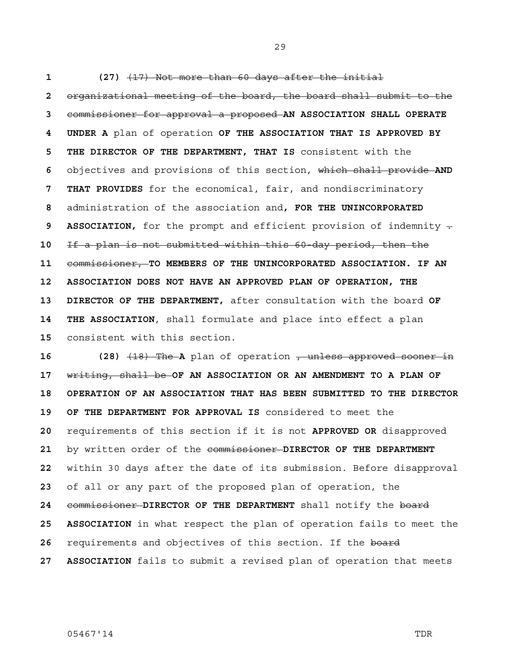**1 (27)** (17) Not more than 60 days after the initial **2** organizational meeting of the board, the board shall submit to the **3** commissioner for approval a proposed **AN ASSOCIATION SHALL OPERATE 4 UNDER A** plan of operation **OF THE ASSOCIATION THAT IS APPROVED BY 5 THE DIRECTOR OF THE DEPARTMENT, THAT IS** consistent with the **6** objectives and provisions of this section, which shall provide **AND 7 THAT PROVIDES** for the economical, fair, and nondiscriminatory **8** administration of the association and**, FOR THE UNINCORPORATED 9 ASSOCIATION,** for the prompt and efficient provision of indemnity -**10** If a plan is not submitted within this 60-day period, then the **11** commissioner, **TO MEMBERS OF THE UNINCORPORATED ASSOCIATION. IF AN 12 ASSOCIATION DOES NOT HAVE AN APPROVED PLAN OF OPERATION, THE 13 DIRECTOR OF THE DEPARTMENT,** after consultation with the board **OF 14 THE ASSOCIATION**, shall formulate and place into effect a plan **15** consistent with this section.

**16 (28)** (18) The **A** plan of operation , unless approved sooner in **17** writing, shall be **OF AN ASSOCIATION OR AN AMENDMENT TO A PLAN OF 18 OPERATION OF AN ASSOCIATION THAT HAS BEEN SUBMITTED TO THE DIRECTOR 19 OF THE DEPARTMENT FOR APPROVAL IS** considered to meet the **20** requirements of this section if it is not **APPROVED OR** disapproved **21** by written order of the commissioner **DIRECTOR OF THE DEPARTMENT 22** within 30 days after the date of its submission. Before disapproval **23** of all or any part of the proposed plan of operation, the **24** commissioner **DIRECTOR OF THE DEPARTMENT** shall notify the board **25 ASSOCIATION** in what respect the plan of operation fails to meet the **26** requirements and objectives of this section. If the board **27 ASSOCIATION** fails to submit a revised plan of operation that meets

05467'14 TDR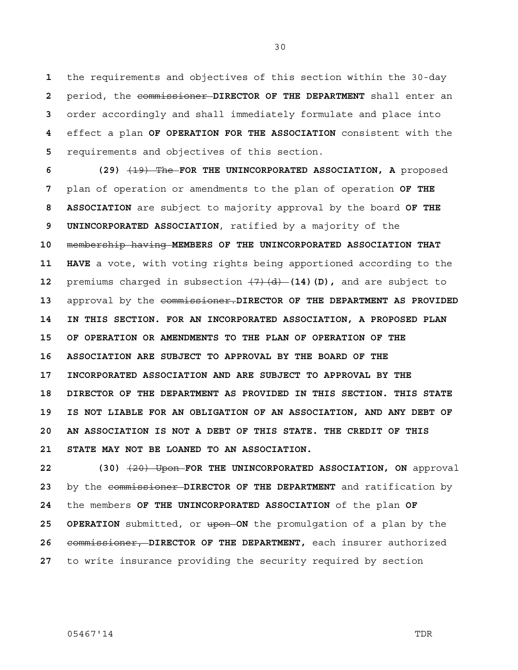the requirements and objectives of this section within the 30-day period, the commissioner **DIRECTOR OF THE DEPARTMENT** shall enter an order accordingly and shall immediately formulate and place into effect a plan **OF OPERATION FOR THE ASSOCIATION** consistent with the requirements and objectives of this section.

**6** (29)  $\overline{(19)}$  The FOR THE UNINCORPORATED ASSOCIATION, A proposed **7** plan of operation or amendments to the plan of operation **OF THE 8 ASSOCIATION** are subject to majority approval by the board **OF THE 9 UNINCORPORATED ASSOCIATION**, ratified by a majority of the **10** membership having **MEMBERS OF THE UNINCORPORATED ASSOCIATION THAT 11 HAVE** a vote, with voting rights being apportioned according to the **12** premiums charged in subsection (7)(d) **(14)(D),** and are subject to **13** approval by the commissioner.**DIRECTOR OF THE DEPARTMENT AS PROVIDED 14 IN THIS SECTION. FOR AN INCORPORATED ASSOCIATION, A PROPOSED PLAN 15 OF OPERATION OR AMENDMENTS TO THE PLAN OF OPERATION OF THE 16 ASSOCIATION ARE SUBJECT TO APPROVAL BY THE BOARD OF THE 17 INCORPORATED ASSOCIATION AND ARE SUBJECT TO APPROVAL BY THE 18 DIRECTOR OF THE DEPARTMENT AS PROVIDED IN THIS SECTION. THIS STATE 19 IS NOT LIABLE FOR AN OBLIGATION OF AN ASSOCIATION, AND ANY DEBT OF 20 AN ASSOCIATION IS NOT A DEBT OF THIS STATE. THE CREDIT OF THIS 21 STATE MAY NOT BE LOANED TO AN ASSOCIATION.**

 (30)  $\left(20\right)$  **Upon-FOR THE UNINCORPORATED ASSOCIATION, ON** approval by the commissioner **DIRECTOR OF THE DEPARTMENT** and ratification by the members **OF THE UNINCORPORATED ASSOCIATION** of the plan **OF 25 OPERATION** submitted, or upon **ON** the promulgation of a plan by the commissioner, **DIRECTOR OF THE DEPARTMENT,** each insurer authorized to write insurance providing the security required by section

05467'14 TDR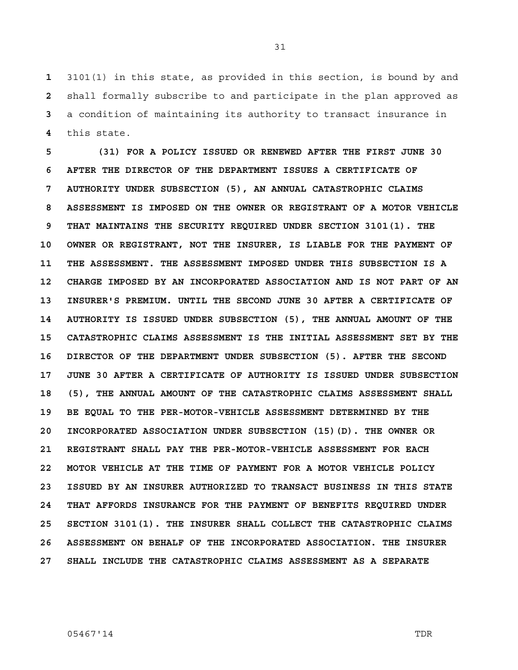3101(1) in this state, as provided in this section, is bound by and shall formally subscribe to and participate in the plan approved as a condition of maintaining its authority to transact insurance in this state.

**5 (31) FOR A POLICY ISSUED OR RENEWED AFTER THE FIRST JUNE 30 6 AFTER THE DIRECTOR OF THE DEPARTMENT ISSUES A CERTIFICATE OF 7 AUTHORITY UNDER SUBSECTION (5), AN ANNUAL CATASTROPHIC CLAIMS 8 ASSESSMENT IS IMPOSED ON THE OWNER OR REGISTRANT OF A MOTOR VEHICLE 9 THAT MAINTAINS THE SECURITY REQUIRED UNDER SECTION 3101(1). THE 10 OWNER OR REGISTRANT, NOT THE INSURER, IS LIABLE FOR THE PAYMENT OF 11 THE ASSESSMENT. THE ASSESSMENT IMPOSED UNDER THIS SUBSECTION IS A 12 CHARGE IMPOSED BY AN INCORPORATED ASSOCIATION AND IS NOT PART OF AN 13 INSURER'S PREMIUM. UNTIL THE SECOND JUNE 30 AFTER A CERTIFICATE OF 14 AUTHORITY IS ISSUED UNDER SUBSECTION (5), THE ANNUAL AMOUNT OF THE 15 CATASTROPHIC CLAIMS ASSESSMENT IS THE INITIAL ASSESSMENT SET BY THE 16 DIRECTOR OF THE DEPARTMENT UNDER SUBSECTION (5). AFTER THE SECOND 17 JUNE 30 AFTER A CERTIFICATE OF AUTHORITY IS ISSUED UNDER SUBSECTION 18 (5), THE ANNUAL AMOUNT OF THE CATASTROPHIC CLAIMS ASSESSMENT SHALL 19 BE EQUAL TO THE PER-MOTOR-VEHICLE ASSESSMENT DETERMINED BY THE 20 INCORPORATED ASSOCIATION UNDER SUBSECTION (15)(D). THE OWNER OR 21 REGISTRANT SHALL PAY THE PER-MOTOR-VEHICLE ASSESSMENT FOR EACH 22 MOTOR VEHICLE AT THE TIME OF PAYMENT FOR A MOTOR VEHICLE POLICY 23 ISSUED BY AN INSURER AUTHORIZED TO TRANSACT BUSINESS IN THIS STATE 24 THAT AFFORDS INSURANCE FOR THE PAYMENT OF BENEFITS REQUIRED UNDER 25 SECTION 3101(1). THE INSURER SHALL COLLECT THE CATASTROPHIC CLAIMS 26 ASSESSMENT ON BEHALF OF THE INCORPORATED ASSOCIATION. THE INSURER 27 SHALL INCLUDE THE CATASTROPHIC CLAIMS ASSESSMENT AS A SEPARATE**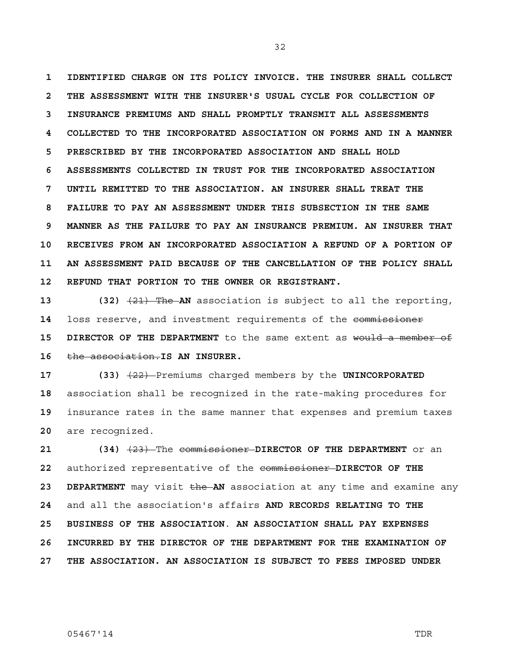**1 IDENTIFIED CHARGE ON ITS POLICY INVOICE. THE INSURER SHALL COLLECT 2 THE ASSESSMENT WITH THE INSURER'S USUAL CYCLE FOR COLLECTION OF 3 INSURANCE PREMIUMS AND SHALL PROMPTLY TRANSMIT ALL ASSESSMENTS 4 COLLECTED TO THE INCORPORATED ASSOCIATION ON FORMS AND IN A MANNER 5 PRESCRIBED BY THE INCORPORATED ASSOCIATION AND SHALL HOLD 6 ASSESSMENTS COLLECTED IN TRUST FOR THE INCORPORATED ASSOCIATION 7 UNTIL REMITTED TO THE ASSOCIATION. AN INSURER SHALL TREAT THE 8 FAILURE TO PAY AN ASSESSMENT UNDER THIS SUBSECTION IN THE SAME 9 MANNER AS THE FAILURE TO PAY AN INSURANCE PREMIUM. AN INSURER THAT 10 RECEIVES FROM AN INCORPORATED ASSOCIATION A REFUND OF A PORTION OF 11 AN ASSESSMENT PAID BECAUSE OF THE CANCELLATION OF THE POLICY SHALL 12 REFUND THAT PORTION TO THE OWNER OR REGISTRANT.** 

**13 (32)** (21) The **AN** association is subject to all the reporting, **14** loss reserve, and investment requirements of the commissioner **15 DIRECTOR OF THE DEPARTMENT** to the same extent as would a member of **16** the association.**IS AN INSURER.** 

**17 (33)** (22) Premiums charged members by the **UNINCORPORATED**  association shall be recognized in the rate-making procedures for insurance rates in the same manner that expenses and premium taxes are recognized.

**21 (34)** (23) The commissioner **DIRECTOR OF THE DEPARTMENT** or an **22** authorized representative of the commissioner **DIRECTOR OF THE 23 DEPARTMENT** may visit the **AN** association at any time and examine any **24** and all the association's affairs **AND RECORDS RELATING TO THE 25 BUSINESS OF THE ASSOCIATION**. **AN ASSOCIATION SHALL PAY EXPENSES 26 INCURRED BY THE DIRECTOR OF THE DEPARTMENT FOR THE EXAMINATION OF 27 THE ASSOCIATION. AN ASSOCIATION IS SUBJECT TO FEES IMPOSED UNDER**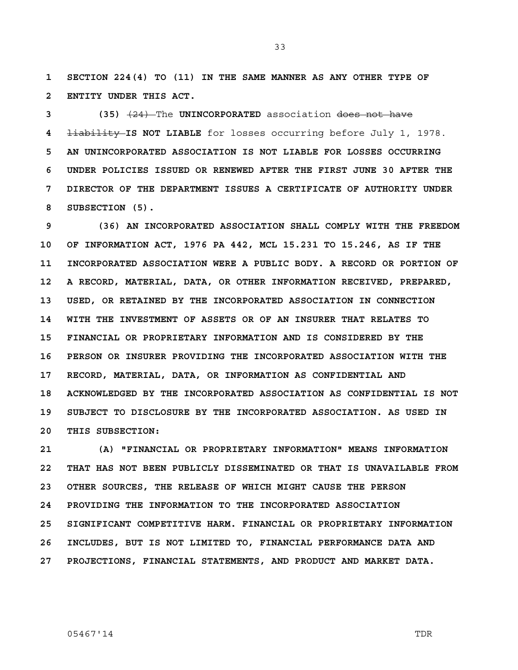**1 SECTION 224(4) TO (11) IN THE SAME MANNER AS ANY OTHER TYPE OF 2 ENTITY UNDER THIS ACT.**

**3 (35)** (24) The **UNINCORPORATED** association does not have **4** liability **IS NOT LIABLE** for losses occurring before July 1, 1978. **5 AN UNINCORPORATED ASSOCIATION IS NOT LIABLE FOR LOSSES OCCURRING 6 UNDER POLICIES ISSUED OR RENEWED AFTER THE FIRST JUNE 30 AFTER THE 7 DIRECTOR OF THE DEPARTMENT ISSUES A CERTIFICATE OF AUTHORITY UNDER 8 SUBSECTION (5).**

**9 (36) AN INCORPORATED ASSOCIATION SHALL COMPLY WITH THE FREEDOM 10 OF INFORMATION ACT, 1976 PA 442, MCL 15.231 TO 15.246, AS IF THE 11 INCORPORATED ASSOCIATION WERE A PUBLIC BODY. A RECORD OR PORTION OF 12 A RECORD, MATERIAL, DATA, OR OTHER INFORMATION RECEIVED, PREPARED, 13 USED, OR RETAINED BY THE INCORPORATED ASSOCIATION IN CONNECTION 14 WITH THE INVESTMENT OF ASSETS OR OF AN INSURER THAT RELATES TO 15 FINANCIAL OR PROPRIETARY INFORMATION AND IS CONSIDERED BY THE 16 PERSON OR INSURER PROVIDING THE INCORPORATED ASSOCIATION WITH THE 17 RECORD, MATERIAL, DATA, OR INFORMATION AS CONFIDENTIAL AND 18 ACKNOWLEDGED BY THE INCORPORATED ASSOCIATION AS CONFIDENTIAL IS NOT 19 SUBJECT TO DISCLOSURE BY THE INCORPORATED ASSOCIATION. AS USED IN 20 THIS SUBSECTION:** 

**21 (A) "FINANCIAL OR PROPRIETARY INFORMATION" MEANS INFORMATION 22 THAT HAS NOT BEEN PUBLICLY DISSEMINATED OR THAT IS UNAVAILABLE FROM 23 OTHER SOURCES, THE RELEASE OF WHICH MIGHT CAUSE THE PERSON 24 PROVIDING THE INFORMATION TO THE INCORPORATED ASSOCIATION 25 SIGNIFICANT COMPETITIVE HARM. FINANCIAL OR PROPRIETARY INFORMATION 26 INCLUDES, BUT IS NOT LIMITED TO, FINANCIAL PERFORMANCE DATA AND 27 PROJECTIONS, FINANCIAL STATEMENTS, AND PRODUCT AND MARKET DATA.**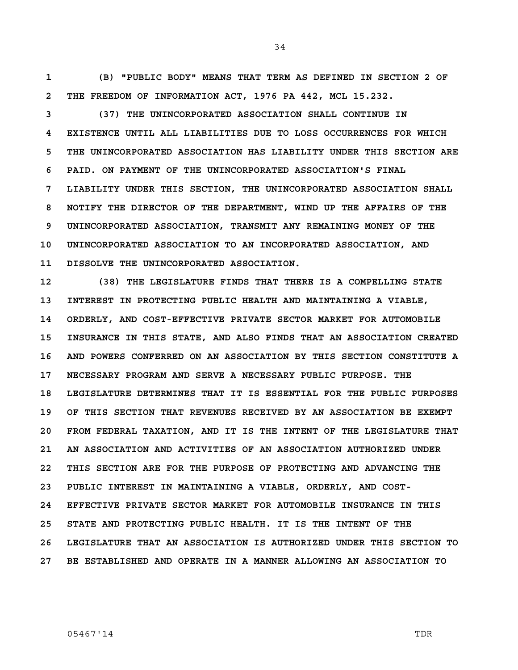**1 (B) "PUBLIC BODY" MEANS THAT TERM AS DEFINED IN SECTION 2 OF 2 THE FREEDOM OF INFORMATION ACT, 1976 PA 442, MCL 15.232.** 

**3 (37) THE UNINCORPORATED ASSOCIATION SHALL CONTINUE IN 4 EXISTENCE UNTIL ALL LIABILITIES DUE TO LOSS OCCURRENCES FOR WHICH 5 THE UNINCORPORATED ASSOCIATION HAS LIABILITY UNDER THIS SECTION ARE 6 PAID. ON PAYMENT OF THE UNINCORPORATED ASSOCIATION'S FINAL 7 LIABILITY UNDER THIS SECTION, THE UNINCORPORATED ASSOCIATION SHALL 8 NOTIFY THE DIRECTOR OF THE DEPARTMENT, WIND UP THE AFFAIRS OF THE 9 UNINCORPORATED ASSOCIATION, TRANSMIT ANY REMAINING MONEY OF THE 10 UNINCORPORATED ASSOCIATION TO AN INCORPORATED ASSOCIATION, AND 11 DISSOLVE THE UNINCORPORATED ASSOCIATION.** 

**12 (38) THE LEGISLATURE FINDS THAT THERE IS A COMPELLING STATE 13 INTEREST IN PROTECTING PUBLIC HEALTH AND MAINTAINING A VIABLE, 14 ORDERLY, AND COST-EFFECTIVE PRIVATE SECTOR MARKET FOR AUTOMOBILE 15 INSURANCE IN THIS STATE, AND ALSO FINDS THAT AN ASSOCIATION CREATED 16 AND POWERS CONFERRED ON AN ASSOCIATION BY THIS SECTION CONSTITUTE A 17 NECESSARY PROGRAM AND SERVE A NECESSARY PUBLIC PURPOSE. THE 18 LEGISLATURE DETERMINES THAT IT IS ESSENTIAL FOR THE PUBLIC PURPOSES 19 OF THIS SECTION THAT REVENUES RECEIVED BY AN ASSOCIATION BE EXEMPT 20 FROM FEDERAL TAXATION, AND IT IS THE INTENT OF THE LEGISLATURE THAT 21 AN ASSOCIATION AND ACTIVITIES OF AN ASSOCIATION AUTHORIZED UNDER 22 THIS SECTION ARE FOR THE PURPOSE OF PROTECTING AND ADVANCING THE 23 PUBLIC INTEREST IN MAINTAINING A VIABLE, ORDERLY, AND COST-24 EFFECTIVE PRIVATE SECTOR MARKET FOR AUTOMOBILE INSURANCE IN THIS 25 STATE AND PROTECTING PUBLIC HEALTH. IT IS THE INTENT OF THE 26 LEGISLATURE THAT AN ASSOCIATION IS AUTHORIZED UNDER THIS SECTION TO 27 BE ESTABLISHED AND OPERATE IN A MANNER ALLOWING AN ASSOCIATION TO**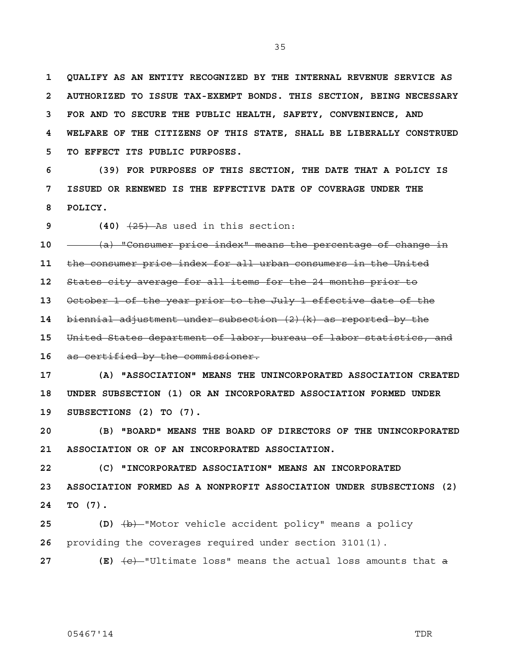**1 QUALIFY AS AN ENTITY RECOGNIZED BY THE INTERNAL REVENUE SERVICE AS 2 AUTHORIZED TO ISSUE TAX-EXEMPT BONDS. THIS SECTION, BEING NECESSARY 3 FOR AND TO SECURE THE PUBLIC HEALTH, SAFETY, CONVENIENCE, AND 4 WELFARE OF THE CITIZENS OF THIS STATE, SHALL BE LIBERALLY CONSTRUED 5 TO EFFECT ITS PUBLIC PURPOSES.** 

**6 (39) FOR PURPOSES OF THIS SECTION, THE DATE THAT A POLICY IS 7 ISSUED OR RENEWED IS THE EFFECTIVE DATE OF COVERAGE UNDER THE 8 POLICY.** 

**9** (40)  $\overline{25}$  As used in this section:

**10** (a) "Consumer price index" means the percentage of change in

**11** the consumer price index for all urban consumers in the United

**12** States city average for all items for the 24 months prior to

**13** October 1 of the year prior to the July 1 effective date of the

**14** biennial adjustment under subsection (2)(k) as reported by the

**15** United States department of labor, bureau of labor statistics, and

**16** as certified by the commissioner.

**17 (A) "ASSOCIATION" MEANS THE UNINCORPORATED ASSOCIATION CREATED 18 UNDER SUBSECTION (1) OR AN INCORPORATED ASSOCIATION FORMED UNDER 19 SUBSECTIONS (2) TO (7).** 

**20 (B) "BOARD" MEANS THE BOARD OF DIRECTORS OF THE UNINCORPORATED 21 ASSOCIATION OR OF AN INCORPORATED ASSOCIATION.** 

**22 (C) "INCORPORATED ASSOCIATION" MEANS AN INCORPORATED 23 ASSOCIATION FORMED AS A NONPROFIT ASSOCIATION UNDER SUBSECTIONS (2) 24 TO (7).** 

**25 (D)** (b) "Motor vehicle accident policy" means a policy **26** providing the coverages required under section 3101(1).

**27 (E)**  $\overline{(e)}$  "Ultimate loss" means the actual loss amounts that a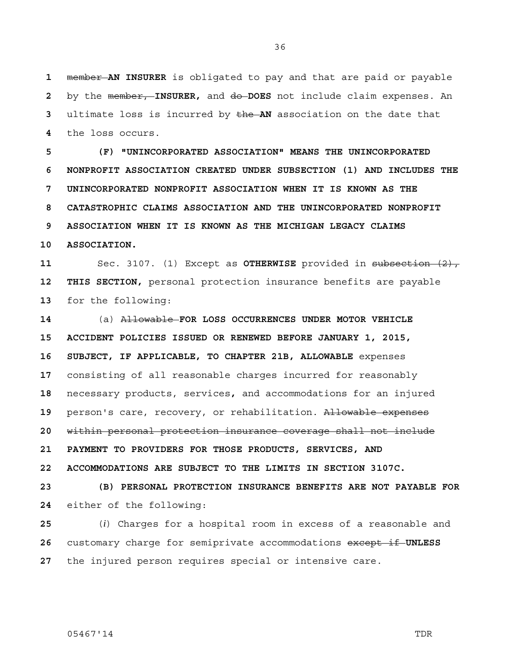member **AN INSURER** is obligated to pay and that are paid or payable by the member, **INSURER,** and do **DOES** not include claim expenses. An ultimate loss is incurred by the **AN** association on the date that the loss occurs.

**5 (F) "UNINCORPORATED ASSOCIATION" MEANS THE UNINCORPORATED 6 NONPROFIT ASSOCIATION CREATED UNDER SUBSECTION (1) AND INCLUDES THE 7 UNINCORPORATED NONPROFIT ASSOCIATION WHEN IT IS KNOWN AS THE 8 CATASTROPHIC CLAIMS ASSOCIATION AND THE UNINCORPORATED NONPROFIT 9 ASSOCIATION WHEN IT IS KNOWN AS THE MICHIGAN LEGACY CLAIMS 10 ASSOCIATION.** 

**11** Sec. 3107. (1) Except as **OTHERWISE** provided in subsection (2), **12 THIS SECTION,** personal protection insurance benefits are payable **13** for the following:

**14** (a) Allowable **FOR LOSS OCCURRENCES UNDER MOTOR VEHICLE 15 ACCIDENT POLICIES ISSUED OR RENEWED BEFORE JANUARY 1, 2015, 16 SUBJECT, IF APPLICABLE, TO CHAPTER 21B, ALLOWABLE** expenses **17** consisting of all reasonable charges incurred for reasonably **18** necessary products, services**,** and accommodations for an injured **19** person's care, recovery, or rehabilitation. Allowable expenses **20** within personal protection insurance coverage shall not include **21 PAYMENT TO PROVIDERS FOR THOSE PRODUCTS, SERVICES, AND 22 ACCOMMODATIONS ARE SUBJECT TO THE LIMITS IN SECTION 3107C. 23 (B) PERSONAL PROTECTION INSURANCE BENEFITS ARE NOT PAYABLE FOR** 

**24** either of the following:

**25** (*i*) Charges for a hospital room in excess of a reasonable and **26** customary charge for semiprivate accommodations except if **UNLESS 27** the injured person requires special or intensive care.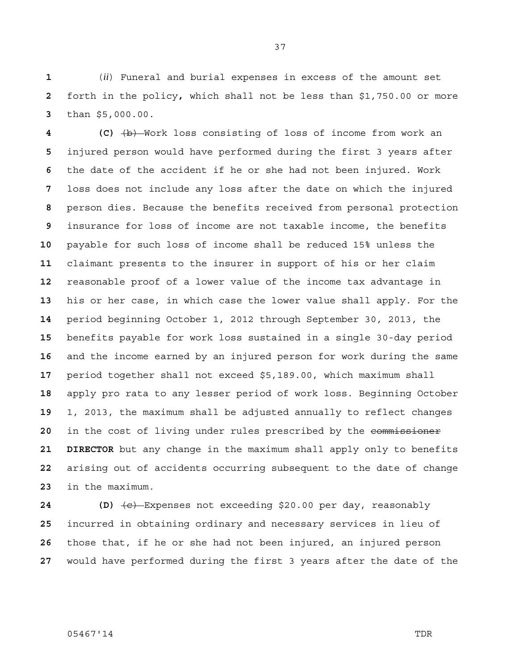(*ii*) Funeral and burial expenses in excess of the amount set forth in the policy**,** which shall not be less than \$1,750.00 or more than \$5,000.00.

**4 (C)** (b) Work loss consisting of loss of income from work an injured person would have performed during the first 3 years after the date of the accident if he or she had not been injured. Work loss does not include any loss after the date on which the injured person dies. Because the benefits received from personal protection insurance for loss of income are not taxable income, the benefits payable for such loss of income shall be reduced 15% unless the claimant presents to the insurer in support of his or her claim reasonable proof of a lower value of the income tax advantage in his or her case, in which case the lower value shall apply. For the period beginning October 1, 2012 through September 30, 2013, the benefits payable for work loss sustained in a single 30-day period and the income earned by an injured person for work during the same period together shall not exceed \$5,189.00, which maximum shall apply pro rata to any lesser period of work loss. Beginning October 1, 2013, the maximum shall be adjusted annually to reflect changes in the cost of living under rules prescribed by the commissioner **21 DIRECTOR** but any change in the maximum shall apply only to benefits arising out of accidents occurring subsequent to the date of change in the maximum.

**24 (D)** (c) Expenses not exceeding \$20.00 per day, reasonably incurred in obtaining ordinary and necessary services in lieu of those that, if he or she had not been injured, an injured person would have performed during the first 3 years after the date of the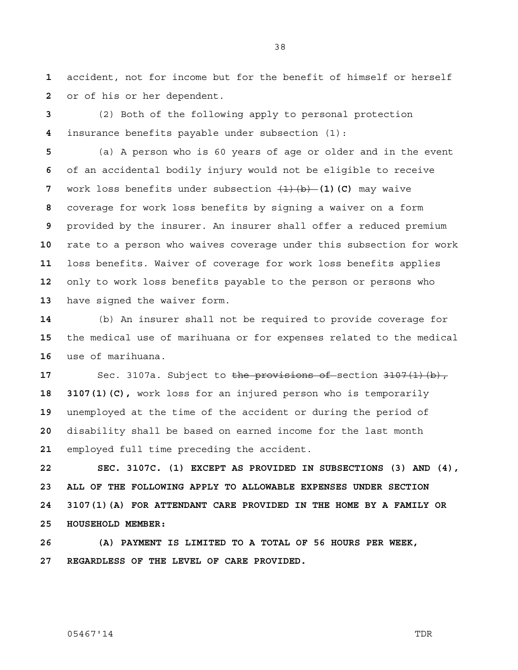accident, not for income but for the benefit of himself or herself or of his or her dependent.

(2) Both of the following apply to personal protection insurance benefits payable under subsection (1):

(a) A person who is 60 years of age or older and in the event of an accidental bodily injury would not be eligible to receive work loss benefits under subsection  $\frac{1}{b}$  (b) (c) may waive coverage for work loss benefits by signing a waiver on a form provided by the insurer. An insurer shall offer a reduced premium rate to a person who waives coverage under this subsection for work loss benefits. Waiver of coverage for work loss benefits applies only to work loss benefits payable to the person or persons who have signed the waiver form.

(b) An insurer shall not be required to provide coverage for the medical use of marihuana or for expenses related to the medical use of marihuana.

 Sec. 3107a. Subject to the provisions of section 3107(1)(b), **18 3107(1)(C),** work loss for an injured person who is temporarily unemployed at the time of the accident or during the period of disability shall be based on earned income for the last month employed full time preceding the accident.

**22 SEC. 3107C. (1) EXCEPT AS PROVIDED IN SUBSECTIONS (3) AND (4), 23 ALL OF THE FOLLOWING APPLY TO ALLOWABLE EXPENSES UNDER SECTION 24 3107(1)(A) FOR ATTENDANT CARE PROVIDED IN THE HOME BY A FAMILY OR 25 HOUSEHOLD MEMBER:** 

**26 (A) PAYMENT IS LIMITED TO A TOTAL OF 56 HOURS PER WEEK, 27 REGARDLESS OF THE LEVEL OF CARE PROVIDED.**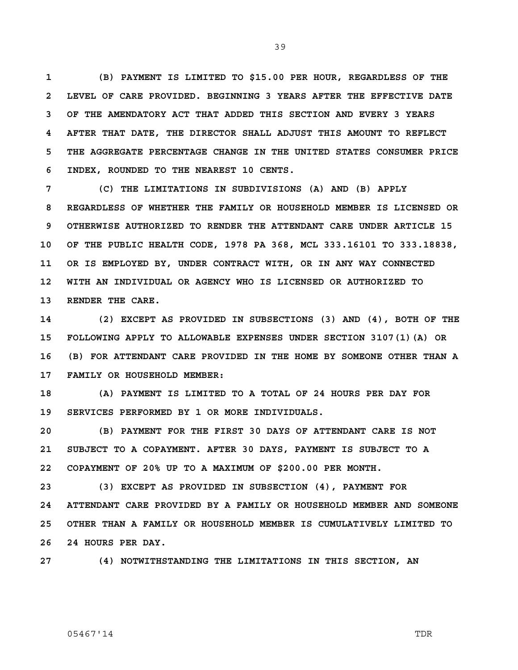**1 (B) PAYMENT IS LIMITED TO \$15.00 PER HOUR, REGARDLESS OF THE 2 LEVEL OF CARE PROVIDED. BEGINNING 3 YEARS AFTER THE EFFECTIVE DATE 3 OF THE AMENDATORY ACT THAT ADDED THIS SECTION AND EVERY 3 YEARS 4 AFTER THAT DATE, THE DIRECTOR SHALL ADJUST THIS AMOUNT TO REFLECT 5 THE AGGREGATE PERCENTAGE CHANGE IN THE UNITED STATES CONSUMER PRICE 6 INDEX, ROUNDED TO THE NEAREST 10 CENTS.** 

**7 (C) THE LIMITATIONS IN SUBDIVISIONS (A) AND (B) APPLY 8 REGARDLESS OF WHETHER THE FAMILY OR HOUSEHOLD MEMBER IS LICENSED OR 9 OTHERWISE AUTHORIZED TO RENDER THE ATTENDANT CARE UNDER ARTICLE 15 10 OF THE PUBLIC HEALTH CODE, 1978 PA 368, MCL 333.16101 TO 333.18838, 11 OR IS EMPLOYED BY, UNDER CONTRACT WITH, OR IN ANY WAY CONNECTED 12 WITH AN INDIVIDUAL OR AGENCY WHO IS LICENSED OR AUTHORIZED TO 13 RENDER THE CARE.** 

**14 (2) EXCEPT AS PROVIDED IN SUBSECTIONS (3) AND (4), BOTH OF THE 15 FOLLOWING APPLY TO ALLOWABLE EXPENSES UNDER SECTION 3107(1)(A) OR 16 (B) FOR ATTENDANT CARE PROVIDED IN THE HOME BY SOMEONE OTHER THAN A 17 FAMILY OR HOUSEHOLD MEMBER:** 

**18 (A) PAYMENT IS LIMITED TO A TOTAL OF 24 HOURS PER DAY FOR 19 SERVICES PERFORMED BY 1 OR MORE INDIVIDUALS.** 

**20 (B) PAYMENT FOR THE FIRST 30 DAYS OF ATTENDANT CARE IS NOT 21 SUBJECT TO A COPAYMENT. AFTER 30 DAYS, PAYMENT IS SUBJECT TO A 22 COPAYMENT OF 20% UP TO A MAXIMUM OF \$200.00 PER MONTH.** 

**23 (3) EXCEPT AS PROVIDED IN SUBSECTION (4), PAYMENT FOR 24 ATTENDANT CARE PROVIDED BY A FAMILY OR HOUSEHOLD MEMBER AND SOMEONE 25 OTHER THAN A FAMILY OR HOUSEHOLD MEMBER IS CUMULATIVELY LIMITED TO 26 24 HOURS PER DAY.** 

**27 (4) NOTWITHSTANDING THE LIMITATIONS IN THIS SECTION, AN** 

### 05467'14 TDR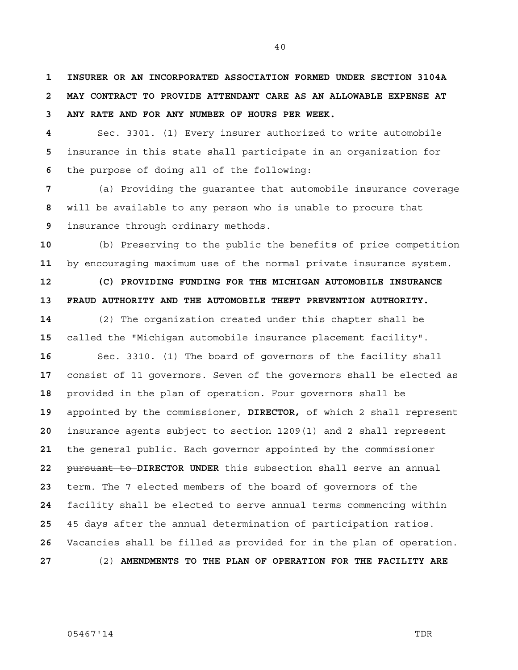**1 INSURER OR AN INCORPORATED ASSOCIATION FORMED UNDER SECTION 3104A 2 MAY CONTRACT TO PROVIDE ATTENDANT CARE AS AN ALLOWABLE EXPENSE AT 3 ANY RATE AND FOR ANY NUMBER OF HOURS PER WEEK.** 

Sec. 3301. (1) Every insurer authorized to write automobile insurance in this state shall participate in an organization for the purpose of doing all of the following:

(a) Providing the guarantee that automobile insurance coverage will be available to any person who is unable to procure that insurance through ordinary methods.

(b) Preserving to the public the benefits of price competition by encouraging maximum use of the normal private insurance system.

**12 (C) PROVIDING FUNDING FOR THE MICHIGAN AUTOMOBILE INSURANCE 13 FRAUD AUTHORITY AND THE AUTOMOBILE THEFT PREVENTION AUTHORITY.** 

(2) The organization created under this chapter shall be called the "Michigan automobile insurance placement facility".

Sec. 3310. (1) The board of governors of the facility shall consist of 11 governors. Seven of the governors shall be elected as provided in the plan of operation. Four governors shall be appointed by the commissioner, **DIRECTOR,** of which 2 shall represent insurance agents subject to section 1209(1) and 2 shall represent 21 the general public. Each governor appointed by the commissioner pursuant to **DIRECTOR UNDER** this subsection shall serve an annual term. The 7 elected members of the board of governors of the facility shall be elected to serve annual terms commencing within 45 days after the annual determination of participation ratios. Vacancies shall be filled as provided for in the plan of operation. (2) **AMENDMENTS TO THE PLAN OF OPERATION FOR THE FACILITY ARE**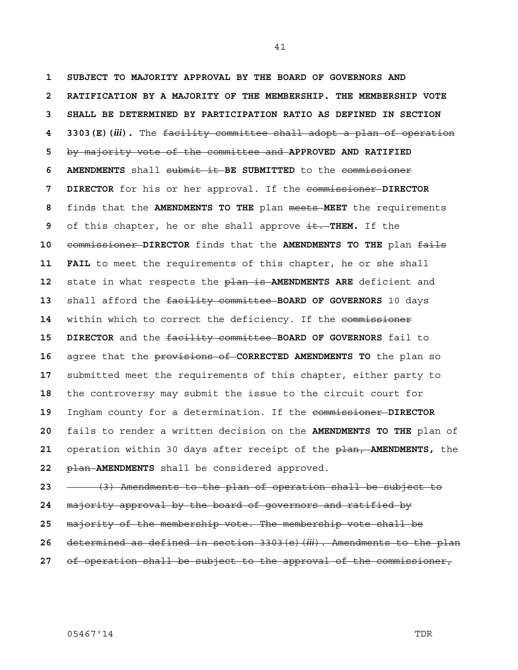**1 SUBJECT TO MAJORITY APPROVAL BY THE BOARD OF GOVERNORS AND 2 RATIFICATION BY A MAJORITY OF THE MEMBERSHIP. THE MEMBERSHIP VOTE 3 SHALL BE DETERMINED BY PARTICIPATION RATIO AS DEFINED IN SECTION 4 3303(E)(***iii***).** The facility committee shall adopt a plan of operation by majority vote of the committee and **APPROVED AND RATIFIED 6 AMENDMENTS** shall submit it **BE SUBMITTED** to the commissioner **7 DIRECTOR** for his or her approval. If the commissioner **DIRECTOR**  finds that the **AMENDMENTS TO THE** plan meets **MEET** the requirements of this chapter, he or she shall approve it. THEM. If the commissioner **DIRECTOR** finds that the **AMENDMENTS TO THE** plan fails **11 FAIL** to meet the requirements of this chapter, he or she shall state in what respects the plan is **AMENDMENTS ARE** deficient and shall afford the facility committee **BOARD OF GOVERNORS** 10 days 14 within which to correct the deficiency. If the commissioner **15 DIRECTOR** and the facility committee **BOARD OF GOVERNORS** fail to agree that the provisions of **CORRECTED AMENDMENTS TO** the plan so submitted meet the requirements of this chapter, either party to the controversy may submit the issue to the circuit court for Ingham county for a determination. If the commissioner **DIRECTOR**  fails to render a written decision on the **AMENDMENTS TO THE** plan of operation within 30 days after receipt of the plan, **AMENDMENTS,** the plan **AMENDMENTS** shall be considered approved.

(3) Amendments to the plan of operation shall be subject to

- majority approval by the board of governors and ratified by
- majority of the membership vote. The membership vote shall be
- determined as defined in section 3303(e)(*iii*). Amendments to the plan
- of operation shall be subject to the approval of the commissioner,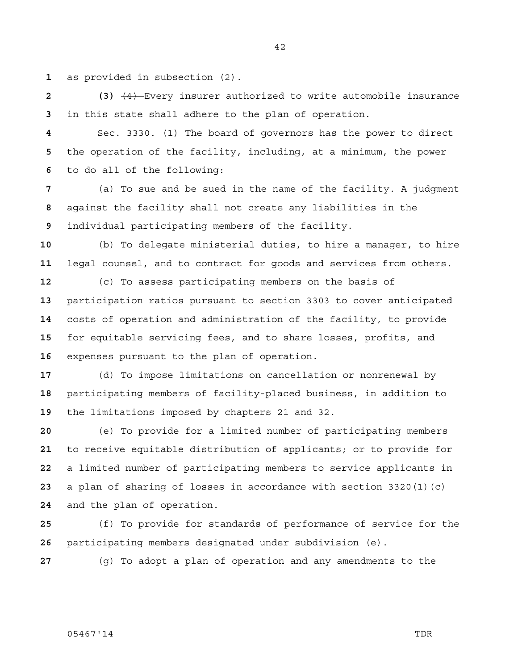as provided in subsection (2).

**2 (3)** (4) Every insurer authorized to write automobile insurance in this state shall adhere to the plan of operation.

Sec. 3330. (1) The board of governors has the power to direct the operation of the facility, including, at a minimum, the power to do all of the following:

(a) To sue and be sued in the name of the facility. A judgment against the facility shall not create any liabilities in the individual participating members of the facility.

(b) To delegate ministerial duties, to hire a manager, to hire legal counsel, and to contract for goods and services from others.

(c) To assess participating members on the basis of participation ratios pursuant to section 3303 to cover anticipated costs of operation and administration of the facility, to provide for equitable servicing fees, and to share losses, profits, and expenses pursuant to the plan of operation.

(d) To impose limitations on cancellation or nonrenewal by participating members of facility-placed business, in addition to the limitations imposed by chapters 21 and 32.

(e) To provide for a limited number of participating members to receive equitable distribution of applicants; or to provide for a limited number of participating members to service applicants in a plan of sharing of losses in accordance with section 3320(1)(c) and the plan of operation.

(f) To provide for standards of performance of service for the participating members designated under subdivision (e).

(g) To adopt a plan of operation and any amendments to the

### 05467'14 TDR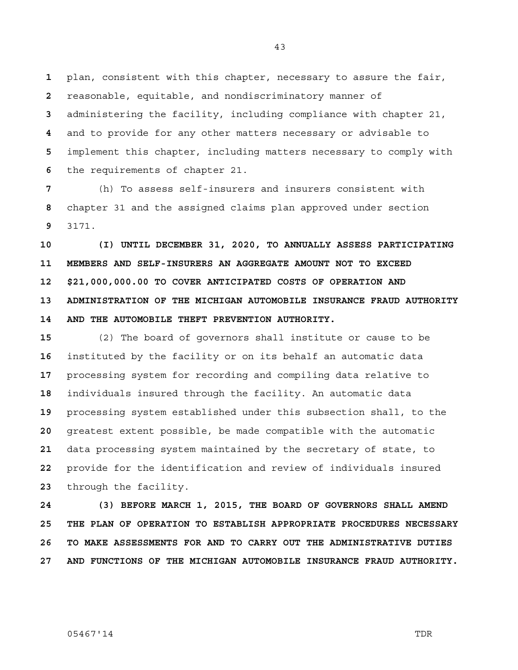plan, consistent with this chapter, necessary to assure the fair, reasonable, equitable, and nondiscriminatory manner of administering the facility, including compliance with chapter 21, and to provide for any other matters necessary or advisable to implement this chapter, including matters necessary to comply with the requirements of chapter 21.

(h) To assess self-insurers and insurers consistent with chapter 31 and the assigned claims plan approved under section 3171.

**10 (I) UNTIL DECEMBER 31, 2020, TO ANNUALLY ASSESS PARTICIPATING 11 MEMBERS AND SELF-INSURERS AN AGGREGATE AMOUNT NOT TO EXCEED 12 \$21,000,000.00 TO COVER ANTICIPATED COSTS OF OPERATION AND 13 ADMINISTRATION OF THE MICHIGAN AUTOMOBILE INSURANCE FRAUD AUTHORITY 14 AND THE AUTOMOBILE THEFT PREVENTION AUTHORITY.** 

(2) The board of governors shall institute or cause to be instituted by the facility or on its behalf an automatic data processing system for recording and compiling data relative to individuals insured through the facility. An automatic data processing system established under this subsection shall, to the greatest extent possible, be made compatible with the automatic data processing system maintained by the secretary of state, to provide for the identification and review of individuals insured through the facility.

**24 (3) BEFORE MARCH 1, 2015, THE BOARD OF GOVERNORS SHALL AMEND 25 THE PLAN OF OPERATION TO ESTABLISH APPROPRIATE PROCEDURES NECESSARY 26 TO MAKE ASSESSMENTS FOR AND TO CARRY OUT THE ADMINISTRATIVE DUTIES 27 AND FUNCTIONS OF THE MICHIGAN AUTOMOBILE INSURANCE FRAUD AUTHORITY.**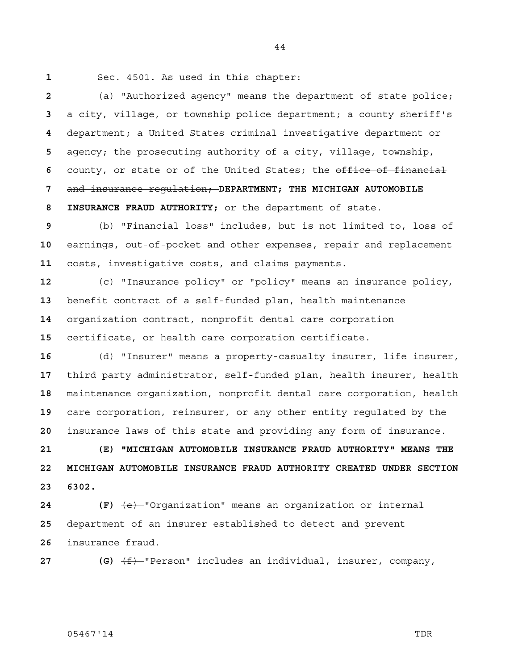Sec. 4501. As used in this chapter:

(a) "Authorized agency" means the department of state police; a city, village, or township police department; a county sheriff's department; a United States criminal investigative department or agency; the prosecuting authority of a city, village, township, 6 county, or state or of the United States; the office of financial and insurance regulation; **DEPARTMENT; THE MICHIGAN AUTOMOBILE 8 INSURANCE FRAUD AUTHORITY;** or the department of state.

(b) "Financial loss" includes, but is not limited to, loss of earnings, out-of-pocket and other expenses, repair and replacement costs, investigative costs, and claims payments.

(c) "Insurance policy" or "policy" means an insurance policy, benefit contract of a self-funded plan, health maintenance organization contract, nonprofit dental care corporation certificate, or health care corporation certificate.

(d) "Insurer" means a property-casualty insurer, life insurer, third party administrator, self-funded plan, health insurer, health maintenance organization, nonprofit dental care corporation, health care corporation, reinsurer, or any other entity regulated by the insurance laws of this state and providing any form of insurance.

**21 (E) "MICHIGAN AUTOMOBILE INSURANCE FRAUD AUTHORITY" MEANS THE 22 MICHIGAN AUTOMOBILE INSURANCE FRAUD AUTHORITY CREATED UNDER SECTION 23 6302.** 

**24 (F)** (e) "Organization" means an organization or internal department of an insurer established to detect and prevent insurance fraud.

**27 (G)**  $\leftarrow$  **(F)** Person" includes an individual, insurer, company,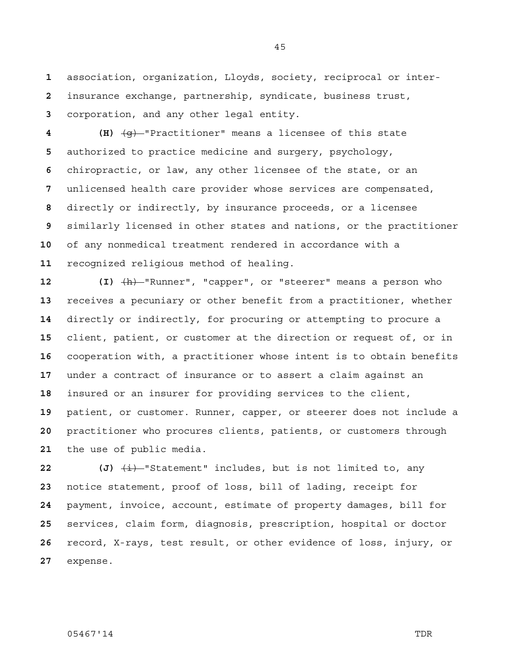association, organization, Lloyds, society, reciprocal or inter-insurance exchange, partnership, syndicate, business trust, corporation, and any other legal entity.

**4 (H)** (g) "Practitioner" means a licensee of this state authorized to practice medicine and surgery, psychology, chiropractic, or law, any other licensee of the state, or an unlicensed health care provider whose services are compensated, directly or indirectly, by insurance proceeds, or a licensee similarly licensed in other states and nations, or the practitioner of any nonmedical treatment rendered in accordance with a recognized religious method of healing.

**12 (I)** (h) "Runner", "capper", or "steerer" means a person who receives a pecuniary or other benefit from a practitioner, whether directly or indirectly, for procuring or attempting to procure a client, patient, or customer at the direction or request of, or in cooperation with, a practitioner whose intent is to obtain benefits under a contract of insurance or to assert a claim against an insured or an insurer for providing services to the client, patient, or customer. Runner, capper, or steerer does not include a practitioner who procures clients, patients, or customers through the use of public media.

 (J)  $\frac{1}{2}$  statement" includes, but is not limited to, any notice statement, proof of loss, bill of lading, receipt for payment, invoice, account, estimate of property damages, bill for services, claim form, diagnosis, prescription, hospital or doctor record, X-rays, test result, or other evidence of loss, injury, or expense.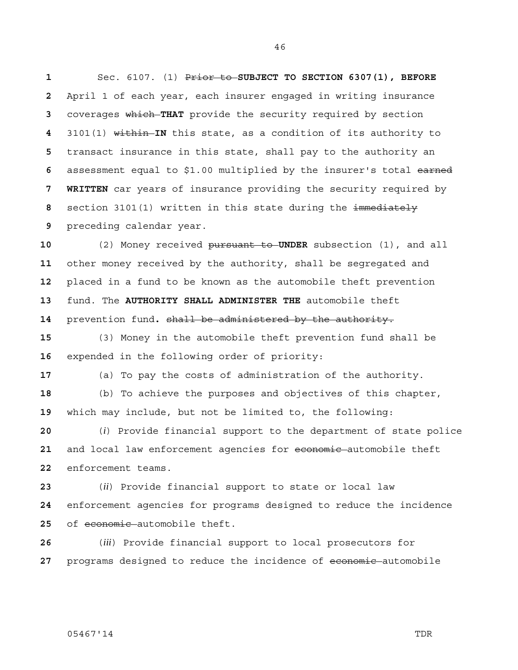Sec. 6107. (1) Prior to **SUBJECT TO SECTION 6307(1), BEFORE**  April 1 of each year, each insurer engaged in writing insurance coverages which **THAT** provide the security required by section 3101(1) within **IN** this state, as a condition of its authority to transact insurance in this state, shall pay to the authority an assessment equal to \$1.00 multiplied by the insurer's total earned **7 WRITTEN** car years of insurance providing the security required by section 3101(1) written in this state during the immediately preceding calendar year.

(2) Money received pursuant to **UNDER** subsection (1), and all other money received by the authority, shall be segregated and placed in a fund to be known as the automobile theft prevention fund. The **AUTHORITY SHALL ADMINISTER THE** automobile theft prevention fund**.** shall be administered by the authority.

(3) Money in the automobile theft prevention fund shall be expended in the following order of priority:

(a) To pay the costs of administration of the authority.

(b) To achieve the purposes and objectives of this chapter, which may include, but not be limited to, the following:

(*i*) Provide financial support to the department of state police 21 and local law enforcement agencies for economic automobile theft enforcement teams.

(*ii*) Provide financial support to state or local law enforcement agencies for programs designed to reduce the incidence 25 of economic automobile theft.

(*iii*) Provide financial support to local prosecutors for **programs designed to reduce the incidence of economic automobile**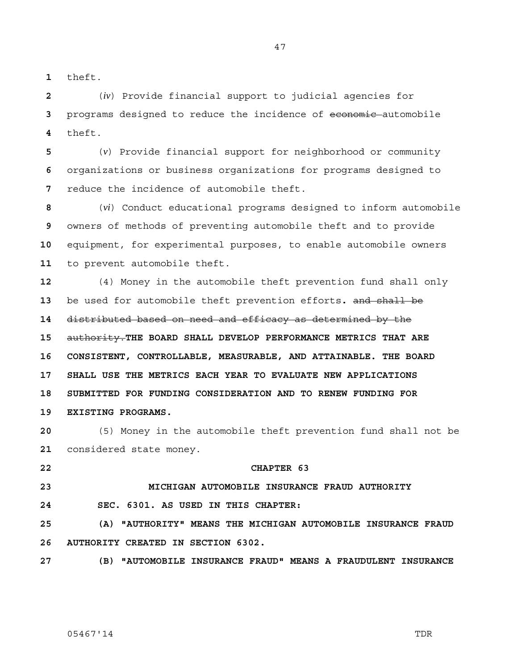theft.

(*iv*) Provide financial support to judicial agencies for programs designed to reduce the incidence of economic automobile theft.

(*v*) Provide financial support for neighborhood or community organizations or business organizations for programs designed to reduce the incidence of automobile theft.

(*vi*) Conduct educational programs designed to inform automobile owners of methods of preventing automobile theft and to provide equipment, for experimental purposes, to enable automobile owners to prevent automobile theft.

(4) Money in the automobile theft prevention fund shall only be used for automobile theft prevention efforts**.** and shall be distributed based on need and efficacy as determined by the authority.**THE BOARD SHALL DEVELOP PERFORMANCE METRICS THAT ARE 16 CONSISTENT, CONTROLLABLE, MEASURABLE, AND ATTAINABLE. THE BOARD 17 SHALL USE THE METRICS EACH YEAR TO EVALUATE NEW APPLICATIONS 18 SUBMITTED FOR FUNDING CONSIDERATION AND TO RENEW FUNDING FOR 19 EXISTING PROGRAMS.**

(5) Money in the automobile theft prevention fund shall not be considered state money.

**22 CHAPTER 63** 

# **23 MICHIGAN AUTOMOBILE INSURANCE FRAUD AUTHORITY**

**24 SEC. 6301. AS USED IN THIS CHAPTER:** 

**25 (A) "AUTHORITY" MEANS THE MICHIGAN AUTOMOBILE INSURANCE FRAUD 26 AUTHORITY CREATED IN SECTION 6302.** 

**27 (B) "AUTOMOBILE INSURANCE FRAUD" MEANS A FRAUDULENT INSURANCE**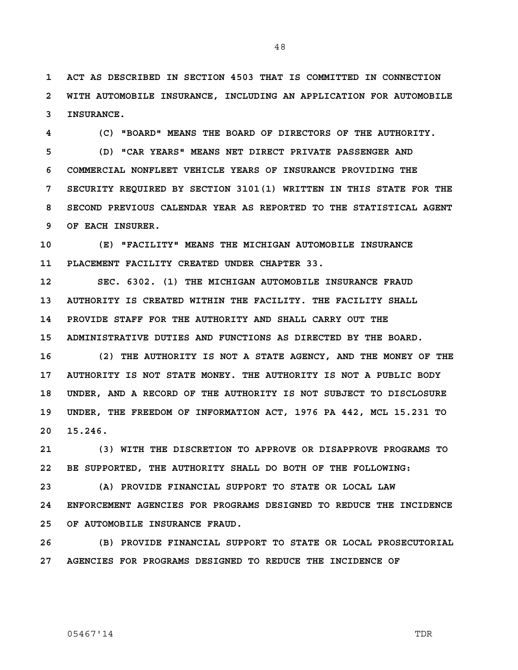**1 ACT AS DESCRIBED IN SECTION 4503 THAT IS COMMITTED IN CONNECTION 2 WITH AUTOMOBILE INSURANCE, INCLUDING AN APPLICATION FOR AUTOMOBILE 3 INSURANCE.** 

**4 (C) "BOARD" MEANS THE BOARD OF DIRECTORS OF THE AUTHORITY. 5 (D) "CAR YEARS" MEANS NET DIRECT PRIVATE PASSENGER AND 6 COMMERCIAL NONFLEET VEHICLE YEARS OF INSURANCE PROVIDING THE 7 SECURITY REQUIRED BY SECTION 3101(1) WRITTEN IN THIS STATE FOR THE 8 SECOND PREVIOUS CALENDAR YEAR AS REPORTED TO THE STATISTICAL AGENT 9 OF EACH INSURER.** 

**10 (E) "FACILITY" MEANS THE MICHIGAN AUTOMOBILE INSURANCE 11 PLACEMENT FACILITY CREATED UNDER CHAPTER 33.** 

**12 SEC. 6302. (1) THE MICHIGAN AUTOMOBILE INSURANCE FRAUD 13 AUTHORITY IS CREATED WITHIN THE FACILITY. THE FACILITY SHALL 14 PROVIDE STAFF FOR THE AUTHORITY AND SHALL CARRY OUT THE 15 ADMINISTRATIVE DUTIES AND FUNCTIONS AS DIRECTED BY THE BOARD.** 

**16 (2) THE AUTHORITY IS NOT A STATE AGENCY, AND THE MONEY OF THE 17 AUTHORITY IS NOT STATE MONEY. THE AUTHORITY IS NOT A PUBLIC BODY 18 UNDER, AND A RECORD OF THE AUTHORITY IS NOT SUBJECT TO DISCLOSURE 19 UNDER, THE FREEDOM OF INFORMATION ACT, 1976 PA 442, MCL 15.231 TO 20 15.246.** 

**21 (3) WITH THE DISCRETION TO APPROVE OR DISAPPROVE PROGRAMS TO 22 BE SUPPORTED, THE AUTHORITY SHALL DO BOTH OF THE FOLLOWING:** 

**23 (A) PROVIDE FINANCIAL SUPPORT TO STATE OR LOCAL LAW 24 ENFORCEMENT AGENCIES FOR PROGRAMS DESIGNED TO REDUCE THE INCIDENCE 25 OF AUTOMOBILE INSURANCE FRAUD.** 

**26 (B) PROVIDE FINANCIAL SUPPORT TO STATE OR LOCAL PROSECUTORIAL 27 AGENCIES FOR PROGRAMS DESIGNED TO REDUCE THE INCIDENCE OF**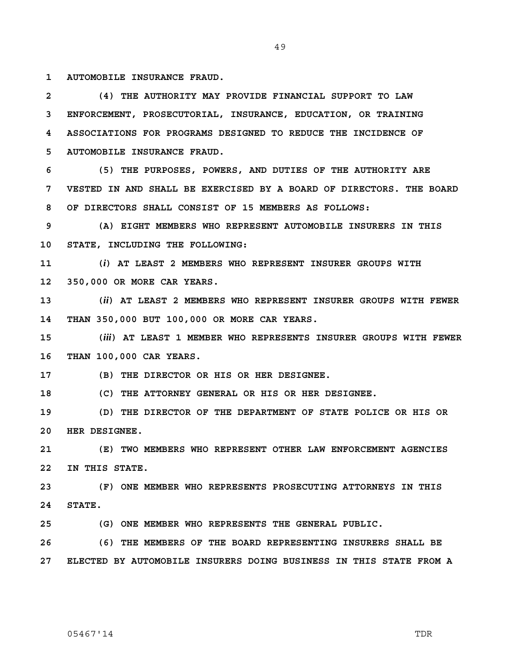**1 AUTOMOBILE INSURANCE FRAUD.** 

**2 (4) THE AUTHORITY MAY PROVIDE FINANCIAL SUPPORT TO LAW 3 ENFORCEMENT, PROSECUTORIAL, INSURANCE, EDUCATION, OR TRAINING 4 ASSOCIATIONS FOR PROGRAMS DESIGNED TO REDUCE THE INCIDENCE OF 5 AUTOMOBILE INSURANCE FRAUD.** 

**6 (5) THE PURPOSES, POWERS, AND DUTIES OF THE AUTHORITY ARE 7 VESTED IN AND SHALL BE EXERCISED BY A BOARD OF DIRECTORS. THE BOARD 8 OF DIRECTORS SHALL CONSIST OF 15 MEMBERS AS FOLLOWS:** 

**9 (A) EIGHT MEMBERS WHO REPRESENT AUTOMOBILE INSURERS IN THIS 10 STATE, INCLUDING THE FOLLOWING:** 

**11 (***i***) AT LEAST 2 MEMBERS WHO REPRESENT INSURER GROUPS WITH 12 350,000 OR MORE CAR YEARS.** 

**13 (***ii***) AT LEAST 2 MEMBERS WHO REPRESENT INSURER GROUPS WITH FEWER 14 THAN 350,000 BUT 100,000 OR MORE CAR YEARS.** 

**15 (***iii***) AT LEAST 1 MEMBER WHO REPRESENTS INSURER GROUPS WITH FEWER 16 THAN 100,000 CAR YEARS.** 

**17 (B) THE DIRECTOR OR HIS OR HER DESIGNEE.** 

**18 (C) THE ATTORNEY GENERAL OR HIS OR HER DESIGNEE.** 

**19 (D) THE DIRECTOR OF THE DEPARTMENT OF STATE POLICE OR HIS OR 20 HER DESIGNEE.** 

**21 (E) TWO MEMBERS WHO REPRESENT OTHER LAW ENFORCEMENT AGENCIES 22 IN THIS STATE.** 

**23 (F) ONE MEMBER WHO REPRESENTS PROSECUTING ATTORNEYS IN THIS 24 STATE.** 

**25 (G) ONE MEMBER WHO REPRESENTS THE GENERAL PUBLIC.** 

**26 (6) THE MEMBERS OF THE BOARD REPRESENTING INSURERS SHALL BE 27 ELECTED BY AUTOMOBILE INSURERS DOING BUSINESS IN THIS STATE FROM A**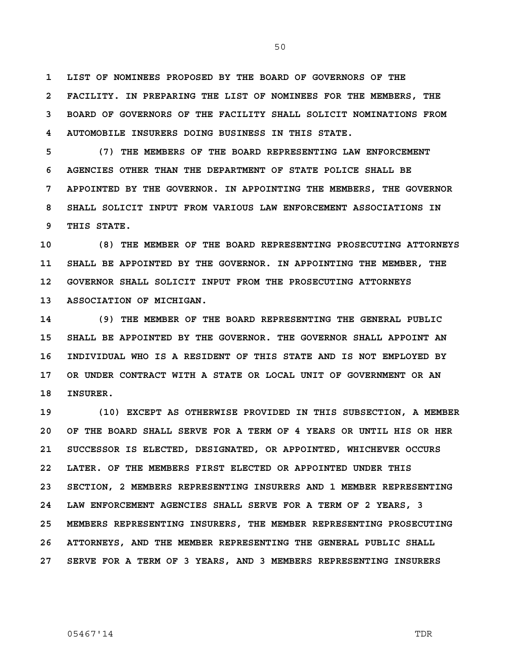**1 LIST OF NOMINEES PROPOSED BY THE BOARD OF GOVERNORS OF THE 2 FACILITY. IN PREPARING THE LIST OF NOMINEES FOR THE MEMBERS, THE 3 BOARD OF GOVERNORS OF THE FACILITY SHALL SOLICIT NOMINATIONS FROM 4 AUTOMOBILE INSURERS DOING BUSINESS IN THIS STATE.** 

**5 (7) THE MEMBERS OF THE BOARD REPRESENTING LAW ENFORCEMENT 6 AGENCIES OTHER THAN THE DEPARTMENT OF STATE POLICE SHALL BE 7 APPOINTED BY THE GOVERNOR. IN APPOINTING THE MEMBERS, THE GOVERNOR 8 SHALL SOLICIT INPUT FROM VARIOUS LAW ENFORCEMENT ASSOCIATIONS IN 9 THIS STATE.** 

**10 (8) THE MEMBER OF THE BOARD REPRESENTING PROSECUTING ATTORNEYS 11 SHALL BE APPOINTED BY THE GOVERNOR. IN APPOINTING THE MEMBER, THE 12 GOVERNOR SHALL SOLICIT INPUT FROM THE PROSECUTING ATTORNEYS 13 ASSOCIATION OF MICHIGAN.** 

**14 (9) THE MEMBER OF THE BOARD REPRESENTING THE GENERAL PUBLIC 15 SHALL BE APPOINTED BY THE GOVERNOR. THE GOVERNOR SHALL APPOINT AN 16 INDIVIDUAL WHO IS A RESIDENT OF THIS STATE AND IS NOT EMPLOYED BY 17 OR UNDER CONTRACT WITH A STATE OR LOCAL UNIT OF GOVERNMENT OR AN 18 INSURER.** 

**19 (10) EXCEPT AS OTHERWISE PROVIDED IN THIS SUBSECTION, A MEMBER 20 OF THE BOARD SHALL SERVE FOR A TERM OF 4 YEARS OR UNTIL HIS OR HER 21 SUCCESSOR IS ELECTED, DESIGNATED, OR APPOINTED, WHICHEVER OCCURS 22 LATER. OF THE MEMBERS FIRST ELECTED OR APPOINTED UNDER THIS 23 SECTION, 2 MEMBERS REPRESENTING INSURERS AND 1 MEMBER REPRESENTING 24 LAW ENFORCEMENT AGENCIES SHALL SERVE FOR A TERM OF 2 YEARS, 3 25 MEMBERS REPRESENTING INSURERS, THE MEMBER REPRESENTING PROSECUTING 26 ATTORNEYS, AND THE MEMBER REPRESENTING THE GENERAL PUBLIC SHALL 27 SERVE FOR A TERM OF 3 YEARS, AND 3 MEMBERS REPRESENTING INSURERS**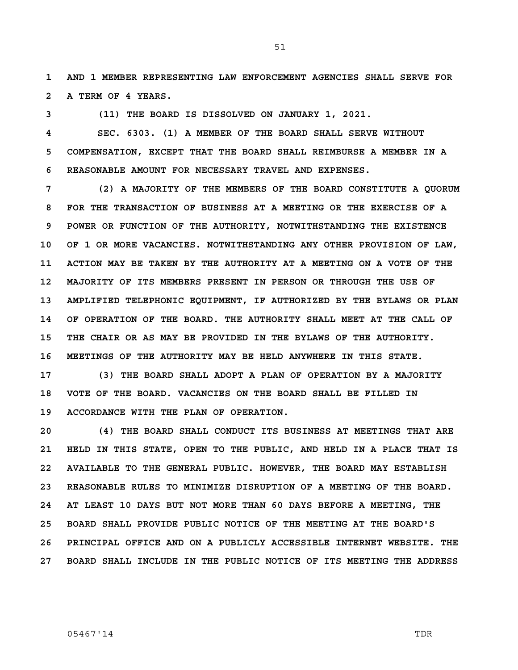**1 AND 1 MEMBER REPRESENTING LAW ENFORCEMENT AGENCIES SHALL SERVE FOR 2 A TERM OF 4 YEARS.** 

**3 (11) THE BOARD IS DISSOLVED ON JANUARY 1, 2021.** 

**4 SEC. 6303. (1) A MEMBER OF THE BOARD SHALL SERVE WITHOUT 5 COMPENSATION, EXCEPT THAT THE BOARD SHALL REIMBURSE A MEMBER IN A 6 REASONABLE AMOUNT FOR NECESSARY TRAVEL AND EXPENSES.** 

**7 (2) A MAJORITY OF THE MEMBERS OF THE BOARD CONSTITUTE A QUORUM 8 FOR THE TRANSACTION OF BUSINESS AT A MEETING OR THE EXERCISE OF A 9 POWER OR FUNCTION OF THE AUTHORITY, NOTWITHSTANDING THE EXISTENCE 10 OF 1 OR MORE VACANCIES. NOTWITHSTANDING ANY OTHER PROVISION OF LAW, 11 ACTION MAY BE TAKEN BY THE AUTHORITY AT A MEETING ON A VOTE OF THE 12 MAJORITY OF ITS MEMBERS PRESENT IN PERSON OR THROUGH THE USE OF 13 AMPLIFIED TELEPHONIC EQUIPMENT, IF AUTHORIZED BY THE BYLAWS OR PLAN 14 OF OPERATION OF THE BOARD. THE AUTHORITY SHALL MEET AT THE CALL OF 15 THE CHAIR OR AS MAY BE PROVIDED IN THE BYLAWS OF THE AUTHORITY. 16 MEETINGS OF THE AUTHORITY MAY BE HELD ANYWHERE IN THIS STATE.** 

**17 (3) THE BOARD SHALL ADOPT A PLAN OF OPERATION BY A MAJORITY 18 VOTE OF THE BOARD. VACANCIES ON THE BOARD SHALL BE FILLED IN 19 ACCORDANCE WITH THE PLAN OF OPERATION.** 

**20 (4) THE BOARD SHALL CONDUCT ITS BUSINESS AT MEETINGS THAT ARE 21 HELD IN THIS STATE, OPEN TO THE PUBLIC, AND HELD IN A PLACE THAT IS 22 AVAILABLE TO THE GENERAL PUBLIC. HOWEVER, THE BOARD MAY ESTABLISH 23 REASONABLE RULES TO MINIMIZE DISRUPTION OF A MEETING OF THE BOARD. 24 AT LEAST 10 DAYS BUT NOT MORE THAN 60 DAYS BEFORE A MEETING, THE 25 BOARD SHALL PROVIDE PUBLIC NOTICE OF THE MEETING AT THE BOARD'S 26 PRINCIPAL OFFICE AND ON A PUBLICLY ACCESSIBLE INTERNET WEBSITE. THE 27 BOARD SHALL INCLUDE IN THE PUBLIC NOTICE OF ITS MEETING THE ADDRESS**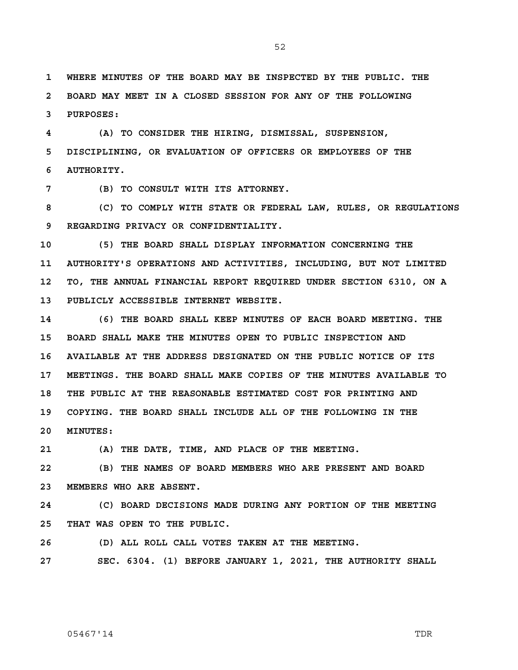**1 WHERE MINUTES OF THE BOARD MAY BE INSPECTED BY THE PUBLIC. THE 2 BOARD MAY MEET IN A CLOSED SESSION FOR ANY OF THE FOLLOWING 3 PURPOSES:** 

**4 (A) TO CONSIDER THE HIRING, DISMISSAL, SUSPENSION, 5 DISCIPLINING, OR EVALUATION OF OFFICERS OR EMPLOYEES OF THE 6 AUTHORITY.** 

**7 (B) TO CONSULT WITH ITS ATTORNEY.** 

**8 (C) TO COMPLY WITH STATE OR FEDERAL LAW, RULES, OR REGULATIONS 9 REGARDING PRIVACY OR CONFIDENTIALITY.** 

**10 (5) THE BOARD SHALL DISPLAY INFORMATION CONCERNING THE 11 AUTHORITY'S OPERATIONS AND ACTIVITIES, INCLUDING, BUT NOT LIMITED 12 TO, THE ANNUAL FINANCIAL REPORT REQUIRED UNDER SECTION 6310, ON A 13 PUBLICLY ACCESSIBLE INTERNET WEBSITE.** 

**14 (6) THE BOARD SHALL KEEP MINUTES OF EACH BOARD MEETING. THE 15 BOARD SHALL MAKE THE MINUTES OPEN TO PUBLIC INSPECTION AND 16 AVAILABLE AT THE ADDRESS DESIGNATED ON THE PUBLIC NOTICE OF ITS 17 MEETINGS. THE BOARD SHALL MAKE COPIES OF THE MINUTES AVAILABLE TO 18 THE PUBLIC AT THE REASONABLE ESTIMATED COST FOR PRINTING AND 19 COPYING. THE BOARD SHALL INCLUDE ALL OF THE FOLLOWING IN THE 20 MINUTES:** 

**21 (A) THE DATE, TIME, AND PLACE OF THE MEETING.** 

**22 (B) THE NAMES OF BOARD MEMBERS WHO ARE PRESENT AND BOARD 23 MEMBERS WHO ARE ABSENT.** 

**24 (C) BOARD DECISIONS MADE DURING ANY PORTION OF THE MEETING 25 THAT WAS OPEN TO THE PUBLIC.** 

**26 (D) ALL ROLL CALL VOTES TAKEN AT THE MEETING.** 

**27 SEC. 6304. (1) BEFORE JANUARY 1, 2021, THE AUTHORITY SHALL**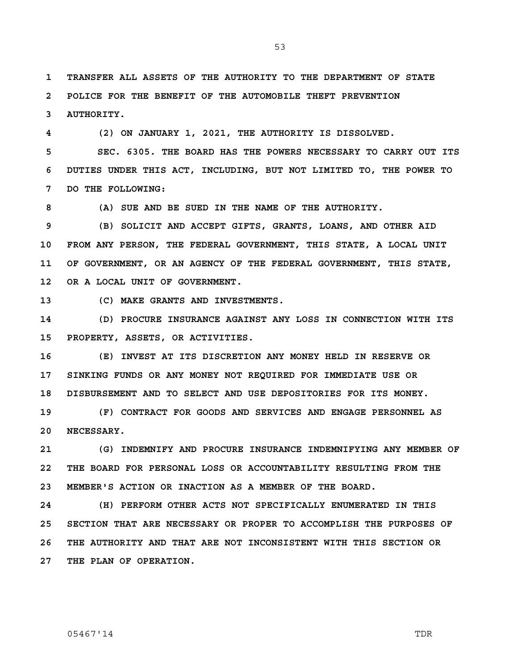**1 TRANSFER ALL ASSETS OF THE AUTHORITY TO THE DEPARTMENT OF STATE 2 POLICE FOR THE BENEFIT OF THE AUTOMOBILE THEFT PREVENTION 3 AUTHORITY.** 

**4 (2) ON JANUARY 1, 2021, THE AUTHORITY IS DISSOLVED. 5 SEC. 6305. THE BOARD HAS THE POWERS NECESSARY TO CARRY OUT ITS 6 DUTIES UNDER THIS ACT, INCLUDING, BUT NOT LIMITED TO, THE POWER TO 7 DO THE FOLLOWING:** 

**8 (A) SUE AND BE SUED IN THE NAME OF THE AUTHORITY.** 

**9 (B) SOLICIT AND ACCEPT GIFTS, GRANTS, LOANS, AND OTHER AID 10 FROM ANY PERSON, THE FEDERAL GOVERNMENT, THIS STATE, A LOCAL UNIT 11 OF GOVERNMENT, OR AN AGENCY OF THE FEDERAL GOVERNMENT, THIS STATE, 12 OR A LOCAL UNIT OF GOVERNMENT.** 

**13 (C) MAKE GRANTS AND INVESTMENTS.** 

**14 (D) PROCURE INSURANCE AGAINST ANY LOSS IN CONNECTION WITH ITS 15 PROPERTY, ASSETS, OR ACTIVITIES.** 

**16 (E) INVEST AT ITS DISCRETION ANY MONEY HELD IN RESERVE OR 17 SINKING FUNDS OR ANY MONEY NOT REQUIRED FOR IMMEDIATE USE OR 18 DISBURSEMENT AND TO SELECT AND USE DEPOSITORIES FOR ITS MONEY.** 

**19 (F) CONTRACT FOR GOODS AND SERVICES AND ENGAGE PERSONNEL AS 20 NECESSARY.** 

**21 (G) INDEMNIFY AND PROCURE INSURANCE INDEMNIFYING ANY MEMBER OF 22 THE BOARD FOR PERSONAL LOSS OR ACCOUNTABILITY RESULTING FROM THE 23 MEMBER'S ACTION OR INACTION AS A MEMBER OF THE BOARD.** 

**24 (H) PERFORM OTHER ACTS NOT SPECIFICALLY ENUMERATED IN THIS 25 SECTION THAT ARE NECESSARY OR PROPER TO ACCOMPLISH THE PURPOSES OF 26 THE AUTHORITY AND THAT ARE NOT INCONSISTENT WITH THIS SECTION OR 27 THE PLAN OF OPERATION.**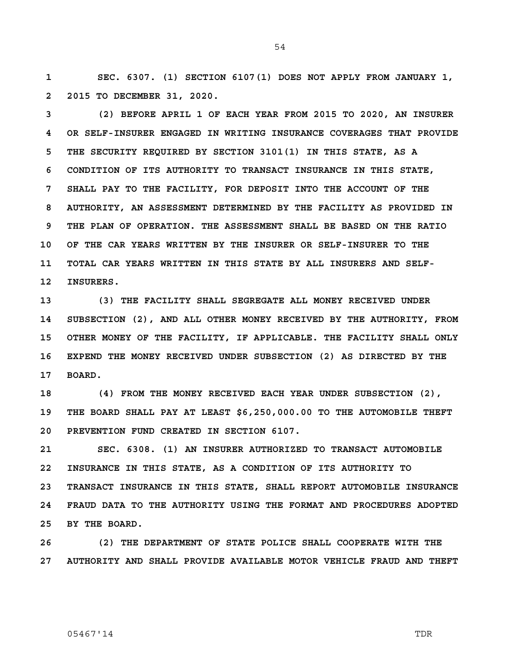**1 SEC. 6307. (1) SECTION 6107(1) DOES NOT APPLY FROM JANUARY 1, 2 2015 TO DECEMBER 31, 2020.** 

**3 (2) BEFORE APRIL 1 OF EACH YEAR FROM 2015 TO 2020, AN INSURER 4 OR SELF-INSURER ENGAGED IN WRITING INSURANCE COVERAGES THAT PROVIDE 5 THE SECURITY REQUIRED BY SECTION 3101(1) IN THIS STATE, AS A 6 CONDITION OF ITS AUTHORITY TO TRANSACT INSURANCE IN THIS STATE, 7 SHALL PAY TO THE FACILITY, FOR DEPOSIT INTO THE ACCOUNT OF THE 8 AUTHORITY, AN ASSESSMENT DETERMINED BY THE FACILITY AS PROVIDED IN 9 THE PLAN OF OPERATION. THE ASSESSMENT SHALL BE BASED ON THE RATIO 10 OF THE CAR YEARS WRITTEN BY THE INSURER OR SELF-INSURER TO THE 11 TOTAL CAR YEARS WRITTEN IN THIS STATE BY ALL INSURERS AND SELF-12 INSURERS.** 

**13 (3) THE FACILITY SHALL SEGREGATE ALL MONEY RECEIVED UNDER 14 SUBSECTION (2), AND ALL OTHER MONEY RECEIVED BY THE AUTHORITY, FROM 15 OTHER MONEY OF THE FACILITY, IF APPLICABLE. THE FACILITY SHALL ONLY 16 EXPEND THE MONEY RECEIVED UNDER SUBSECTION (2) AS DIRECTED BY THE 17 BOARD.** 

**18 (4) FROM THE MONEY RECEIVED EACH YEAR UNDER SUBSECTION (2), 19 THE BOARD SHALL PAY AT LEAST \$6,250,000.00 TO THE AUTOMOBILE THEFT 20 PREVENTION FUND CREATED IN SECTION 6107.** 

**21 SEC. 6308. (1) AN INSURER AUTHORIZED TO TRANSACT AUTOMOBILE 22 INSURANCE IN THIS STATE, AS A CONDITION OF ITS AUTHORITY TO 23 TRANSACT INSURANCE IN THIS STATE, SHALL REPORT AUTOMOBILE INSURANCE 24 FRAUD DATA TO THE AUTHORITY USING THE FORMAT AND PROCEDURES ADOPTED 25 BY THE BOARD.** 

**26 (2) THE DEPARTMENT OF STATE POLICE SHALL COOPERATE WITH THE 27 AUTHORITY AND SHALL PROVIDE AVAILABLE MOTOR VEHICLE FRAUD AND THEFT**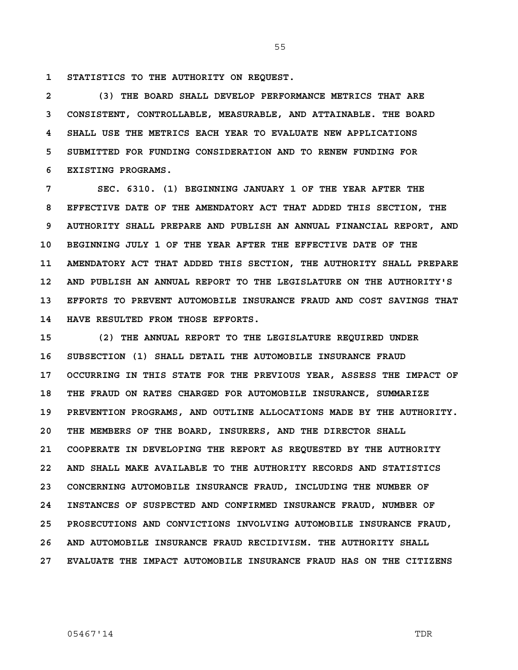**1 STATISTICS TO THE AUTHORITY ON REQUEST.** 

**2 (3) THE BOARD SHALL DEVELOP PERFORMANCE METRICS THAT ARE 3 CONSISTENT, CONTROLLABLE, MEASURABLE, AND ATTAINABLE. THE BOARD 4 SHALL USE THE METRICS EACH YEAR TO EVALUATE NEW APPLICATIONS 5 SUBMITTED FOR FUNDING CONSIDERATION AND TO RENEW FUNDING FOR 6 EXISTING PROGRAMS.** 

**7 SEC. 6310. (1) BEGINNING JANUARY 1 OF THE YEAR AFTER THE 8 EFFECTIVE DATE OF THE AMENDATORY ACT THAT ADDED THIS SECTION, THE 9 AUTHORITY SHALL PREPARE AND PUBLISH AN ANNUAL FINANCIAL REPORT, AND 10 BEGINNING JULY 1 OF THE YEAR AFTER THE EFFECTIVE DATE OF THE 11 AMENDATORY ACT THAT ADDED THIS SECTION, THE AUTHORITY SHALL PREPARE 12 AND PUBLISH AN ANNUAL REPORT TO THE LEGISLATURE ON THE AUTHORITY'S 13 EFFORTS TO PREVENT AUTOMOBILE INSURANCE FRAUD AND COST SAVINGS THAT 14 HAVE RESULTED FROM THOSE EFFORTS.** 

**15 (2) THE ANNUAL REPORT TO THE LEGISLATURE REQUIRED UNDER 16 SUBSECTION (1) SHALL DETAIL THE AUTOMOBILE INSURANCE FRAUD 17 OCCURRING IN THIS STATE FOR THE PREVIOUS YEAR, ASSESS THE IMPACT OF 18 THE FRAUD ON RATES CHARGED FOR AUTOMOBILE INSURANCE, SUMMARIZE 19 PREVENTION PROGRAMS, AND OUTLINE ALLOCATIONS MADE BY THE AUTHORITY. 20 THE MEMBERS OF THE BOARD, INSURERS, AND THE DIRECTOR SHALL 21 COOPERATE IN DEVELOPING THE REPORT AS REQUESTED BY THE AUTHORITY 22 AND SHALL MAKE AVAILABLE TO THE AUTHORITY RECORDS AND STATISTICS 23 CONCERNING AUTOMOBILE INSURANCE FRAUD, INCLUDING THE NUMBER OF 24 INSTANCES OF SUSPECTED AND CONFIRMED INSURANCE FRAUD, NUMBER OF 25 PROSECUTIONS AND CONVICTIONS INVOLVING AUTOMOBILE INSURANCE FRAUD, 26 AND AUTOMOBILE INSURANCE FRAUD RECIDIVISM. THE AUTHORITY SHALL 27 EVALUATE THE IMPACT AUTOMOBILE INSURANCE FRAUD HAS ON THE CITIZENS**